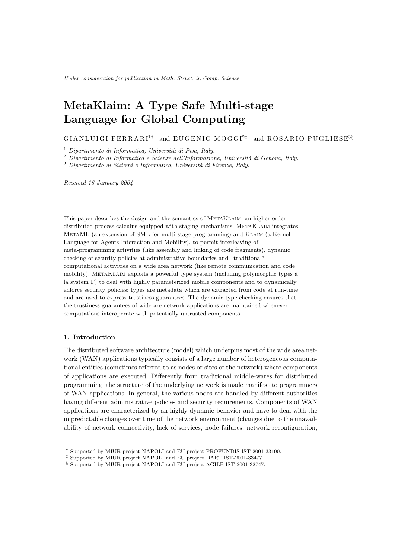# MetaKlaim: A Type Safe Multi-stage Language for Global Computing

GIANLUIGI FERRARI<sup>1†</sup> and EUGENIO MOGGI<sup>2‡</sup> and ROSARIO PUGLIESE<sup>3§</sup>

<sup>1</sup> Dipartimento di Informatica, Università di Pisa, Italy.

 $2$  Dipartimento di Informatica e Scienze dell'Informazione, Università di Genova, Italy.

 $3$  Dipartimento di Sistemi e Informatica, Università di Firenze, Italy.

Received 16 January 2004

This paper describes the design and the semantics of METAKLAIM, an higher order distributed process calculus equipped with staging mechanisms. METAKLAIM integrates MetaML (an extension of SML for multi-stage programming) and Klaim (a Kernel Language for Agents Interaction and Mobility), to permit interleaving of meta-programming activities (like assembly and linking of code fragments), dynamic checking of security policies at administrative boundaries and "traditional" computational activities on a wide area network (like remote communication and code mobility). METAKLAIM exploits a powerful type system (including polymorphic types  $\acute{a}$ la system F) to deal with highly parameterized mobile components and to dynamically enforce security policies: types are metadata which are extracted from code at run-time and are used to express trustiness guarantees. The dynamic type checking ensures that the trustiness guarantees of wide are network applications are maintained whenever computations interoperate with potentially untrusted components.

# 1. Introduction

The distributed software architecture (model) which underpins most of the wide area network (WAN) applications typically consists of a large number of heterogeneous computational entities (sometimes referred to as nodes or sites of the network) where components of applications are executed. Differently from traditional middle-wares for distributed programming, the structure of the underlying network is made manifest to programmers of WAN applications. In general, the various nodes are handled by different authorities having different administrative policies and security requirements. Components of WAN applications are characterized by an highly dynamic behavior and have to deal with the unpredictable changes over time of the network environment (changes due to the unavailability of network connectivity, lack of services, node failures, network reconfiguration,

<sup>†</sup> Supported by MIUR project NAPOLI and EU project PROFUNDIS IST-2001-33100.

<sup>‡</sup> Supported by MIUR project NAPOLI and EU project DART IST-2001-33477.

<sup>§</sup> Supported by MIUR project NAPOLI and EU project AGILE IST-2001-32747.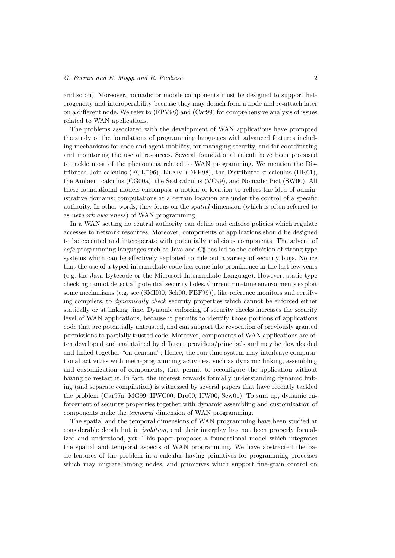and so on). Moreover, nomadic or mobile components must be designed to support heterogeneity and interoperability because they may detach from a node and re-attach later on a different node. We refer to (FPV98) and (Car99) for comprehensive analysis of issues related to WAN applications.

The problems associated with the development of WAN applications have prompted the study of the foundations of programming languages with advanced features including mechanisms for code and agent mobility, for managing security, and for coordinating and monitoring the use of resources. Several foundational calculi have been proposed to tackle most of the phenomena related to WAN programming. We mention the Distributed Join-calculus (FGL+96), KLAIM (DFP98), the Distributed  $\pi$ -calculus (HR01), the Ambient calculus (CG00a), the Seal calculus (VC99), and Nomadic Pict (SW00). All these foundational models encompass a notion of location to reflect the idea of administrative domains: computations at a certain location are under the control of a specific authority. In other words, they focus on the spatial dimension (which is often referred to as network awareness) of WAN programming.

In a WAN setting no central authority can define and enforce policies which regulate accesses to network resources. Moreover, components of applications should be designed to be executed and interoperate with potentially malicious components. The advent of safe programming languages such as Java and  $C\sharp$  has led to the definition of strong type systems which can be effectively exploited to rule out a variety of security bugs. Notice that the use of a typed intermediate code has come into prominence in the last few years (e.g. the Java Bytecode or the Microsoft Intermediate Language). However, static type checking cannot detect all potential security holes. Current run-time environments exploit some mechanisms (e.g. see (SMH00; Sch00; FBF99)), like reference monitors and certifying compilers, to dynamically check security properties which cannot be enforced either statically or at linking time. Dynamic enforcing of security checks increases the security level of WAN applications, because it permits to identify those portions of applications code that are potentially untrusted, and can support the revocation of previously granted permissions to partially trusted code. Moreover, components of WAN applications are often developed and maintained by different providers/principals and may be downloaded and linked together "on demand". Hence, the run-time system may interleave computational activities with meta-programming activities, such as dynamic linking, assembling and customization of components, that permit to reconfigure the application without having to restart it. In fact, the interest towards formally understanding dynamic linking (and separate compilation) is witnessed by several papers that have recently tackled the problem (Car97a; MG99; HWC00; Dro00; HW00; Sew01). To sum up, dynamic enforcement of security properties together with dynamic assembling and customization of components make the temporal dimension of WAN programming.

The spatial and the temporal dimensions of WAN programming have been studied at considerable depth but in isolation, and their interplay has not been properly formalized and understood, yet. This paper proposes a foundational model which integrates the spatial and temporal aspects of WAN programming. We have abstracted the basic features of the problem in a calculus having primitives for programming processes which may migrate among nodes, and primitives which support fine-grain control on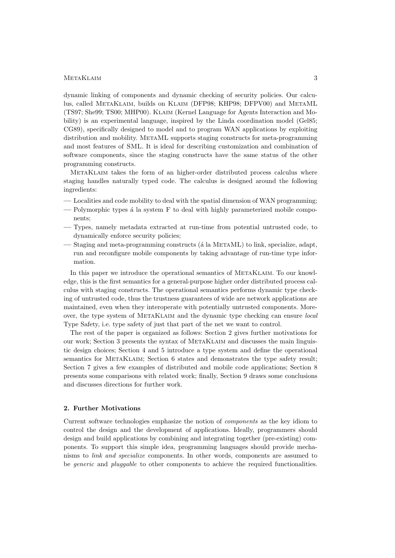dynamic linking of components and dynamic checking of security policies. Our calculus, called MetaKlaim, builds on Klaim (DFP98; KHP98; DFPV00) and MetaML (TS97; She99; TS00; MHP00). Klaim (Kernel Language for Agents Interaction and Mobility) is an experimental language, inspired by the Linda coordination model (Gel85; CG89), specifically designed to model and to program WAN applications by exploiting distribution and mobility. METAML supports staging constructs for meta-programming and most features of SML. It is ideal for describing customization and combination of software components, since the staging constructs have the same status of the other programming constructs.

MetaKlaim takes the form of an higher-order distributed process calculus where staging handles naturally typed code. The calculus is designed around the following ingredients:

- Localities and code mobility to deal with the spatial dimension of WAN programming;
- Polymorphic types a la system F to deal with highly parameterized mobile components;
- Types, namely metadata extracted at run-time from potential untrusted code, to dynamically enforce security policies;
- Staging and meta-programming constructs (a la METAML) to link, specialize, adapt, run and reconfigure mobile components by taking advantage of run-time type information.

In this paper we introduce the operational semantics of METAKLAIM. To our knowledge, this is the first semantics for a general-purpose higher order distributed process calculus with staging constructs. The operational semantics performs dynamic type checking of untrusted code, thus the trustness guarantees of wide are network applications are maintained, even when they interoperate with potentially untrusted components. Moreover, the type system of METAKLAIM and the dynamic type checking can ensure *local* Type Safety, i.e. type safety of just that part of the net we want to control.

The rest of the paper is organized as follows: Section 2 gives further motivations for our work; Section 3 presents the syntax of MetaKlaim and discusses the main linguistic design choices; Section 4 and 5 introduce a type system and define the operational semantics for METAKLAIM; Section 6 states and demonstrates the type safety result; Section 7 gives a few examples of distributed and mobile code applications; Section 8 presents some comparisons with related work; finally, Section 9 draws some conclusions and discusses directions for further work.

## 2. Further Motivations

Current software technologies emphasize the notion of components as the key idiom to control the design and the development of applications. Ideally, programmers should design and build applications by combining and integrating together (pre-existing) components. To support this simple idea, programming languages should provide mechanisms to link and specialize components. In other words, components are assumed to be *generic* and *pluggable* to other components to achieve the required functionalities.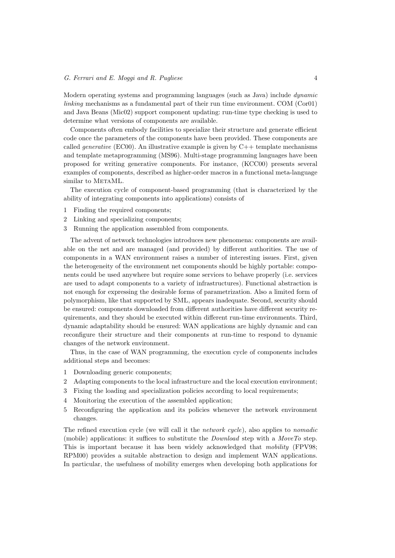Modern operating systems and programming languages (such as Java) include dynamic linking mechanisms as a fundamental part of their run time environment. COM (Cor01) and Java Beans (Mic02) support component updating: run-time type checking is used to determine what versions of components are available.

Components often embody facilities to specialize their structure and generate efficient code once the parameters of the components have been provided. These components are called *generative* (EC00). An illustrative example is given by  $C++$  template mechanisms and template metaprogramming (MS96). Multi-stage programming languages have been proposed for writing generative components. For instance, (KCC00) presents several examples of components, described as higher-order macros in a functional meta-language similar to METAML.

The execution cycle of component-based programming (that is characterized by the ability of integrating components into applications) consists of

- 1 Finding the required components;
- 2 Linking and specializing components;
- 3 Running the application assembled from components.

The advent of network technologies introduces new phenomena: components are available on the net and are managed (and provided) by different authorities. The use of components in a WAN environment raises a number of interesting issues. First, given the heterogeneity of the environment net components should be highly portable: components could be used anywhere but require some services to behave properly (i.e. services are used to adapt components to a variety of infrastructures). Functional abstraction is not enough for expressing the desirable forms of parametrization. Also a limited form of polymorphism, like that supported by SML, appears inadequate. Second, security should be ensured: components downloaded from different authorities have different security requirements, and they should be executed within different run-time environments. Third, dynamic adaptability should be ensured: WAN applications are highly dynamic and can reconfigure their structure and their components at run-time to respond to dynamic changes of the network environment.

Thus, in the case of WAN programming, the execution cycle of components includes additional steps and becomes:

- 1 Downloading generic components;
- 2 Adapting components to the local infrastructure and the local execution environment;
- 3 Fixing the loading and specialization policies according to local requirements;
- 4 Monitoring the execution of the assembled application;
- 5 Reconfiguring the application and its policies whenever the network environment changes.

The refined execution cycle (we will call it the *network cycle*), also applies to *nomadic* (mobile) applications: it suffices to substitute the *Download* step with a  $MoveTo$  step. This is important because it has been widely acknowledged that mobility (FPV98; RPM00) provides a suitable abstraction to design and implement WAN applications. In particular, the usefulness of mobility emerges when developing both applications for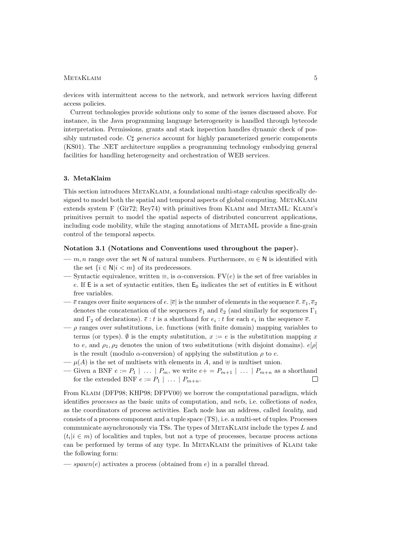devices with intermittent access to the network, and network services having different access policies.

Current technologies provide solutions only to some of the issues discussed above. For instance, in the Java programming language heterogeneity is handled through bytecode interpretation. Permissions, grants and stack inspection handles dynamic check of possibly untrusted code. C $\sharp$  generics account for highly parameterized generic components (KS01). The .NET architecture supplies a programming technology embodying general facilities for handling heterogeneity and orchestration of WEB services.

# 3. MetaKlaim

This section introduces METAKLAIM, a foundational multi-stage calculus specifically designed to model both the spatial and temporal aspects of global computing. METAKLAIM extends system F (Gir72; Rey74) with primitives from KLAIM and METAML: KLAIM's primitives permit to model the spatial aspects of distributed concurrent applications, including code mobility, while the staging annotations of METAML provide a fine-grain control of the temporal aspects.

## Notation 3.1 (Notations and Conventions used throughout the paper).

- m, n range over the set N of natural numbers. Furthermore,  $m \in N$  is identified with the set  $\{i \in \mathbb{N} | i < m\}$  of its predecessors.
- Syntactic equivalence, written  $\equiv$ , is  $\alpha$ -conversion. FV $(e)$  is the set of free variables in e. If  $E$  is a set of syntactic entities, then  $E_0$  indicates the set of entities in  $E$  without free variables.
- $\bar{e}$  ranges over finite sequences of e.  $|\bar{e}|$  is the number of elements in the sequence  $\bar{e}$ .  $\bar{e}_1$ ,  $\bar{e}_2$ denotes the concatenation of the sequences  $\bar{e}_1$  and  $\bar{e}_2$  (and similarly for sequences  $\Gamma_1$ and  $\Gamma_2$  of declarations).  $\bar{e}: t$  is a shorthand for  $e_i : t$  for each  $e_i$  in the sequence  $\bar{e}$ .
- $-\rho$  ranges over substitutions, i.e. functions (with finite domain) mapping variables to terms (or types). Ø is the empty substitution,  $x := e$  is the substitution mapping x to e, and  $\rho_1, \rho_2$  denotes the union of two substitutions (with disjoint domains).  $e[\rho]$ is the result (modulo  $\alpha$ -conversion) of applying the substitution  $\rho$  to  $e$ .
- $-\mu(A)$  is the set of multisets with elements in A, and  $\forall$  is multiset union.
- Given a BNF  $e := P_1 \mid ... \mid P_m$ , we write  $e + P_{m+1} \mid ... \mid P_{m+n}$  as a shorthand for the extended BNF  $e := P_1 \mid \ldots \mid P_{m+n}$ .  $\Box$

From Klaim (DFP98; KHP98; DFPV00) we borrow the computational paradigm, which identifies processes as the basic units of computation, and nets, i.e. collections of nodes, as the coordinators of process activities. Each node has an address, called locality, and consists of a process component and a tuple space (TS), i.e. a multi-set of tuples. Processes communicate asynchronously via TSs. The types of METAKLAIM include the types  $L$  and  $(t_i | i \in m)$  of localities and tuples, but not a type of processes, because process actions can be performed by terms of any type. In MetaKlaim the primitives of Klaim take the following form:

<sup>—</sup> spawn(e) activates a process (obtained from e) in a parallel thread.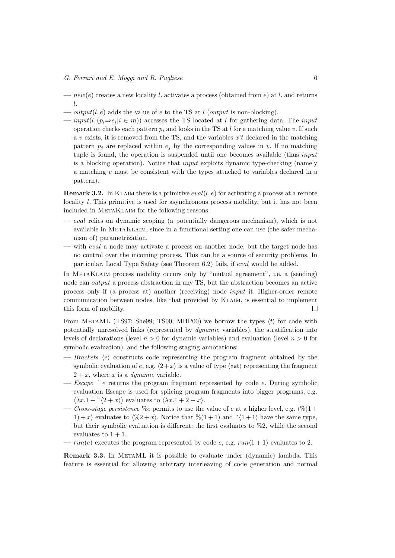- $new(e)$  creates a new locality l, activates a process (obtained from e) at l, and returns l.
- *output*(*l*, *e*) adds the value of *e* to the TS at *l* (*output* is non-blocking).
- $-$  input(l,  $(p_i \Rightarrow e_i | i \in m)$ ) accesses the TS located at l for gathering data. The input operation checks each pattern  $p_i$  and looks in the TS at l for a matching value v. If such a  $v$  exists, it is removed from the TS, and the variables  $x!t$  declared in the matching pattern  $p_j$  are replaced within  $e_j$  by the corresponding values in v. If no matching tuple is found, the operation is suspended until one becomes available (thus input is a blocking operation). Notice that input exploits dynamic type-checking (namely a matching v must be consistent with the types attached to variables declared in a pattern).

**Remark 3.2.** In KLAIM there is a primitive  $eval(l, e)$  for activating a process at a remote locality l. This primitive is used for asynchronous process mobility, but it has not been included in METAKLAIM for the following reasons:

- eval relies on dynamic scoping (a potentially dangerous mechanism), which is not available in MetaKlaim, since in a functional setting one can use (the safer mechanism of) parametrization.
- with *eval* a node may activate a process on another node, but the target node has no control over the incoming process. This can be a source of security problems. In particular, Local Type Safety (see Theorem 6.2) fails, if eval would be added.

In METAKLAIM process mobility occurs only by "mutual agreement", i.e. a (sending) node can output a process abstraction in any TS, but the abstraction becomes an active process only if (a process at) another (receiving) node input it. Higher-order remote communication between nodes, like that provided by Klaim, is essential to implement this form of mobility. П

From METAML (TS97; She99; TS00; MHP00) we borrow the types  $\langle t \rangle$  for code with potentially unresolved links (represented by dynamic variables), the stratification into levels of declarations (level  $n > 0$  for dynamic variables) and evaluation (level  $n > 0$  for symbolic evaluation), and the following staging annotations:

- Brackets  $\langle e \rangle$  constructs code representing the program fragment obtained by the symbolic evaluation of e, e.g.  $\langle 2+x \rangle$  is a value of type  $\langle \text{nat} \rangle$  representing the fragment  $2 + x$ , where x is a *dynamic* variable.
- *Escape*  $\tilde{e}$  returns the program fragment represented by code e. During symbolic evaluation Escape is used for splicing program fragments into bigger programs, e.g.  $\langle \lambda x.1 + \tilde{\lambda} \langle 2 + x \rangle \rangle$  evaluates to  $\langle \lambda x.1 + 2 + x \rangle$ .
- Cross-stage persistence % permits to use the value of e at a higher level, e.g.  $\sqrt{\%}(1 +$  $1) + x$  evaluates to  $\langle \%2 + x \rangle$ . Notice that  $\langle \langle (1 + 1) \rangle$  and  $\langle (1 + 1) \rangle$  have the same type, but their symbolic evaluation is different: the first evaluates to %2, while the second evaluates to  $1 + 1$ .
- $run(e)$  executes the program represented by code e, e.g.  $run(1 + 1)$  evaluates to 2.

Remark 3.3. In MetaML it is possible to evaluate under (dynamic) lambda. This feature is essential for allowing arbitrary interleaving of code generation and normal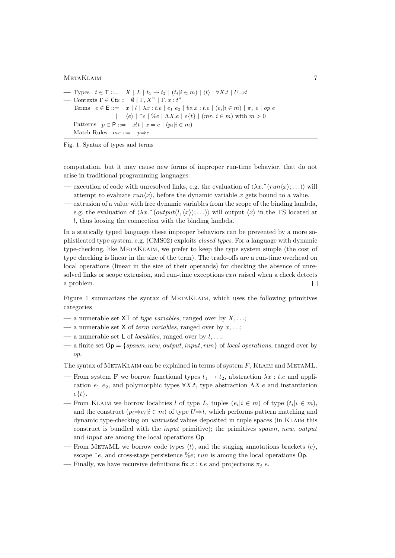```
— Types t \in \mathsf{T} ::= X \mid L \mid t_1 \rightarrow t_2 \mid (t_i | i \in m) \mid \langle t \rangle \mid \forall X \cdot t \mid U \Rightarrow t— Contexts \Gamma \in \mathsf{Ctx} ::= \emptyset \mid \Gamma, X^n \mid \Gamma, x : t^n— Terms e \in \mathsf{E} ::= x \mid l \mid \lambda x : t.e \mid e_1 \mid e_2 \mid \text{fix } x : t.e \mid (e_i \mid i \in m) \mid \pi_i \mid e \mid op \mid e_i| \langle e \rangle |^*e | \%e | \Lambda X.e | e\{t\} | (mr_i|i \in m) with m > 0Patterns p \in \mathsf{P} ::= x!t \mid x = e \mid (p_i | i \in m)Match Rules mr ::= p \Rightarrow e
```
Fig. 1. Syntax of types and terms

computation, but it may cause new forms of improper run-time behavior, that do not arise in traditional programming languages:

- execution of code with unresolved links, e.g. the evaluation of  $\langle \lambda x. \tilde{r}(run \langle x \rangle; \ldots) \rangle$  will attempt to evaluate  $run(x)$ , before the dynamic variable x gets bound to a value.
- extrusion of a value with free dynamic variables from the scope of the binding lambda, e.g. the evaluation of  $\langle \lambda x. \tilde{\;} (output(l,\langle x \rangle); \ldots) \rangle$  will output  $\langle x \rangle$  in the TS located at l, thus loosing the connection with the binding lambda.

In a statically typed language these improper behaviors can be prevented by a more sophisticated type system, e.g. (CMS02) exploits closed types. For a language with dynamic type-checking, like MetaKlaim, we prefer to keep the type system simple (the cost of type checking is linear in the size of the term). The trade-offs are a run-time overhead on local operations (linear in the size of their operands) for checking the absence of unresolved links or scope extrusion, and run-time exceptions  $exn$  raised when a check detects  $\Box$ a problem.

Figure 1 summarizes the syntax of METAKLAIM, which uses the following primitives categories

- a numerable set XT of *type variables*, ranged over by  $X, \ldots;$
- a numerable set  $X$  of *term variables*, ranged over by  $x, \ldots;$
- a numerable set L of *localities*, ranged over by  $l, \ldots;$
- a finite set  $Op = \{spam, new, output, input, run\}$  of local operations, ranged over by op.

The syntax of METAKLAIM can be explained in terms of system  $F$ , KLAIM and METAML.

- From system F we borrow functional types  $t_1 \rightarrow t_2$ , abstraction  $\lambda x : t.e$  and application  $e_1$   $e_2$ , and polymorphic types  $\forall X.t.$  type abstraction  $\Lambda X.e$  and instantiation  $e\{t\}.$
- From KLAIM we borrow localities l of type L, tuples  $(e_i | i \in m)$  of type  $(t_i | i \in m)$ , and the construct  $(p_i \Rightarrow e_i | i \in m)$  of type  $U \Rightarrow t$ , which performs pattern matching and dynamic type-checking on untrusted values deposited in tuple spaces (in Klaim this construct is bundled with the input primitive); the primitives spawn, new, output and input are among the local operations Op.
- From METAML we borrow code types  $\langle t \rangle$ , and the staging annotations brackets  $\langle e \rangle$ . escape  $\tilde{e}$ , and cross-stage persistence  $\%e$ ; run is among the local operations Op.
- Finally, we have recursive definitions fix  $x : t.e$  and projections  $\pi_i e$ .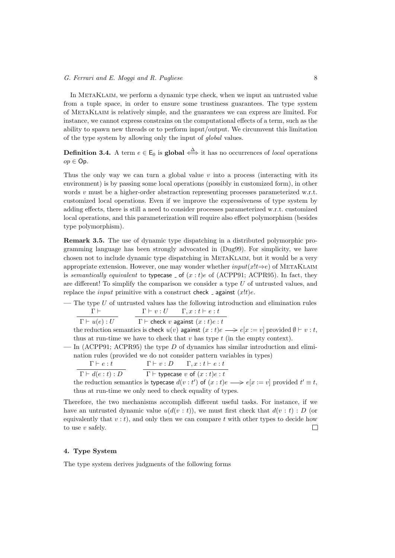In METAKLAIM, we perform a dynamic type check, when we input an untrusted value from a tuple space, in order to ensure some trustiness guarantees. The type system of MetaKlaim is relatively simple, and the guarantees we can express are limited. For instance, we cannot express constrains on the computational effects of a term, such as the ability to spawn new threads or to perform input/output. We circumvent this limitation of the type system by allowing only the input of global values.

**Definition 3.4.** A term  $e \in \mathsf{E}_0$  is global  $\iff$  it has no occurrences of *local* operations  $op \in \mathsf{Op}.$ 

Thus the only way we can turn a global value  $v$  into a process (interacting with its environment) is by passing some local operations (possibly in customized form), in other words  $v$  must be a higher-order abstraction representing processes parameterized w.r.t. customized local operations. Even if we improve the expressiveness of type system by adding effects, there is still a need to consider processes parameterized w.r.t. customized local operations, and this parameterization will require also effect polymorphism (besides type polymorphism).

Remark 3.5. The use of dynamic type dispatching in a distributed polymorphic programming language has been strongly advocated in (Dug99). For simplicity, we have chosen not to include dynamic type dispatching in METAKLAIM, but it would be a very appropriate extension. However, one may wonder whether  $input(x!t\Rightarrow e)$  of METAKLAIM is semantically equivalent to typecase  $\overline{\ }$  of  $(x : t)$  of (ACPP91; ACPR95). In fact, they are different! To simplify the comparison we consider a type  $U$  of untrusted values, and replace the *input* primitive with a construct check  $\Box$  against  $(x!t)e$ .

— The type U of untrusted values has the following introduction and elimination rules  $\Gamma \vdash$  $\Gamma \vdash v : U \quad \Gamma, x : t \vdash e : t$ 

 $\boxed{\Gamma \vdash u(e) : U}$  $\Gamma \vdash$  check v against  $(x : t)e : t$ 

the reduction semantics is check  $u(v)$  against  $(x : t)e \longrightarrow e[x := v]$  provided  $\emptyset \vdash v : t$ , thus at run-time we have to check that  $v$  has type  $t$  (in the empty context).

— In (ACPP91; ACPR95) the type D of dynamics has similar introduction and elimination rules (provided we do not consider pattern variables in types)

 $\Gamma \vdash e : t$  $\Gamma \vdash d(e : t) : D$  $\Gamma \vdash v : D \quad \Gamma, x : t \vdash e : t$  $\Gamma \vdash$  typecase v of  $(x : t)e : t$ 

the reduction semantics is typecase  $d(v : t')$  of  $(x : t)e \longrightarrow e[x := v]$  provided  $t' \equiv t$ , thus at run-time we only need to check equality of types.

Therefore, the two mechanisms accomplish different useful tasks. For instance, if we have an untrusted dynamic value  $u(d(v : t))$ , we must first check that  $d(v : t) : D$  (or equivalently that  $v : t$ , and only then we can compare t with other types to decide how to use v safely.  $\Box$ 

## 4. Type System

The type system derives judgments of the following forms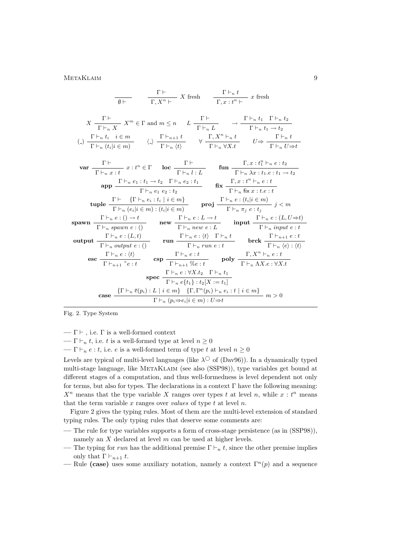$$
\frac{\Gamma\vdash}{\emptyset\vdash} \qquad \frac{\Gamma\vdash}{\Gamma, X^n \vdash} \qquad X \text{ fresh} \qquad \frac{\Gamma\vdash_n t}{\Gamma, x : t^n \vdash} \qquad x \text{ fresh}
$$
\n
$$
X \frac{\Gamma\vdash}{\Gamma\vdash_n X} \qquad X^m \in \Gamma \text{ and } m \leq n \qquad L \qquad \frac{\Gamma\vdash}{\Gamma\vdash_n L} \qquad \rightarrow \frac{\Gamma\vdash_n t_1 \quad \Gamma\vdash_n t_2}{\Gamma\vdash_n t_1 \rightarrow t_2}
$$
\n
$$
(\text{.) } \frac{\Gamma\vdash_n t_i \quad i \in m}{\Gamma\vdash_n (t_i | i \in m)} \qquad \langle \text{.) } \frac{\Gamma\vdash_{n+1} t}{\Gamma\vdash_n (t_i)} \qquad \forall \frac{\Gamma, X^n \vdash_n t}{\Gamma\vdash_n \forall X.t} \qquad U \Rightarrow \frac{\Gamma\vdash_n t}{\Gamma\vdash_n U \Rightarrow t}
$$
\n
$$
\text{var } \frac{\Gamma\vdash}{\Gamma\vdash_n x : t} \qquad x : t^n \in \Gamma \qquad \text{loc} \qquad \frac{\Gamma\vdash}{\Gamma\vdash_n l : L} \qquad \text{fun } \frac{\Gamma, x : t_1^n \vdash_n e : t_2}{\Gamma\vdash_n \forall x : t_1 \cdot t_1 \rightarrow t_2}
$$
\n
$$
\text{app } \frac{\Gamma\vdash_n e_1 : t_1 \rightarrow t_2 \quad \Gamma\vdash_n e_2 : t_1}{\Gamma\vdash_n e_1 e_2 : t_2} \qquad \text{fix } \frac{\Gamma, x : t^n \vdash_n e : t}{\Gamma\vdash_n \text{fix } x : t_1 \cdot t_1 \rightarrow t_2}
$$
\n
$$
\text{tuple } \frac{\Gamma\vdash}{\Gamma\vdash_n (e_i | i \in m) : (t_i | i \in m)} \qquad \text{proj } \frac{\Gamma\vdash_n e : (t_i | i \in m)}{\Gamma\vdash_n \text{fix } x : t_1 \cdot t_1 \rightarrow t_2}
$$
\n
$$
\text{spam } \frac{\Gamma\vdash_n e : (\text{.)} \rightarrow t}{\Gamma\vdash_n \text{spam } e : (0)} \qquad \text{new } \frac{\Gamma\vdash_n e : L \rightarrow t}{\Gamma\vdash_n \text{new } e : L} \qquad \text{input
$$

Fig. 2. Type System

—  $\Gamma \vdash$  , i.e.  $\Gamma$  is a well-formed context

—  $\Gamma \vdash_n t$ , i.e. t is a well-formed type at level  $n \geq 0$ 

—  $\Gamma \vdash_n e : t$ , i.e. e is a well-formed term of type t at level  $n \geq 0$ 

Levels are typical of multi-level languages (like  $\lambda^{\circ}$  of (Dav96)). In a dynamically typed multi-stage language, like MetaKlaim (see also (SSP98)), type variables get bound at different stages of a computation, and thus well-formedness is level dependent not only for terms, but also for types. The declarations in a context  $\Gamma$  have the following meaning:  $X<sup>n</sup>$  means that the type variable X ranges over types t at level n, while  $x : t<sup>n</sup>$  means that the term variable x ranges over values of type t at level  $n$ .

Figure 2 gives the typing rules. Most of them are the multi-level extension of standard typing rules. The only typing rules that deserve some comments are:

- The rule for type variables supports a form of cross-stage persistence (as in (SSP98)), namely an  $X$  declared at level  $m$  can be used at higher levels.
- The typing for run has the additional premise  $\Gamma \vdash_n t$ , since the other premise implies only that  $\Gamma \vdash_{n+1} t$ .
- Rule (case) uses some auxiliary notation, namely a context  $\Gamma^{n}(p)$  and a sequence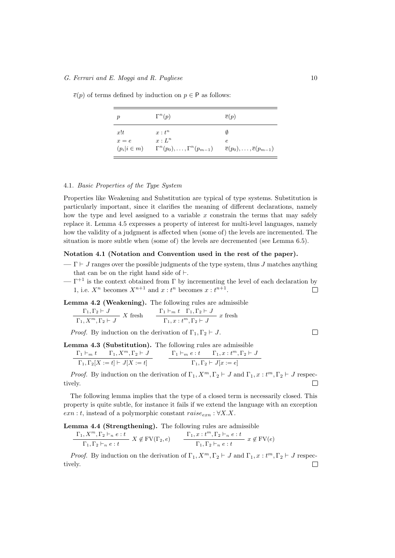| p               | $\Gamma^n(p)$                              | $\overline{e}(p)$                                  |
|-----------------|--------------------------------------------|----------------------------------------------------|
| x!t             | $x:t^n$                                    | Ø                                                  |
| $x=e$           | $x: L^n$                                   | $\epsilon$                                         |
| $(p_i i \in m)$ | $\Gamma^n(p_0), \ldots, \Gamma^n(p_{m-1})$ | $\overline{e}(p_0), \ldots, \overline{e}(p_{m-1})$ |

 $\bar{e}(p)$  of terms defined by induction on  $p \in P$  as follows:

#### 4.1. Basic Properties of the Type System

Properties like Weakening and Substitution are typical of type systems. Substitution is particularly important, since it clarifies the meaning of different declarations, namely how the type and level assigned to a variable  $x$  constrain the terms that may safely replace it. Lemma 4.5 expresses a property of interest for multi-level languages, namely how the validity of a judgment is affected when (some of) the levels are incremented. The situation is more subtle when (some of) the levels are decremented (see Lemma 6.5).

## Notation 4.1 (Notation and Convention used in the rest of the paper).

- $-\Gamma \vdash J$  ranges over the possible judgments of the type system, thus J matches anything that can be on the right hand side of  $\vdash$ .
- $-\Gamma^{+1}$  is the context obtained from  $\Gamma$  by incrementing the level of each declaration by 1, i.e.  $X^n$  becomes  $X^{n+1}$  and  $x : t^n$  becomes  $x : t^{n+1}$ .  $\Box$

#### Lemma 4.2 (Weakening). The following rules are admissible

$$
\frac{\Gamma_1, \Gamma_2 \vdash J}{\Gamma_1, X^m, \Gamma_2 \vdash J} \quad X \text{ fresh} \qquad \frac{\Gamma_1 \vdash_m t \quad \Gamma_1, \Gamma_2 \vdash J}{\Gamma_1, x : t^m, \Gamma_2 \vdash J} \quad x \text{ fresh}
$$

*Proof.* By induction on the derivation of  $\Gamma_1, \Gamma_2 \vdash J$ .

Lemma 4.3 (Substitution). The following rules are admissible

| $\Gamma_1 \vdash_m t \qquad \Gamma_1, X^m, \Gamma_2 \vdash J$ | $\Gamma_1 \vdash_m e : t \qquad \Gamma_1, x : t^m, \Gamma_2 \vdash J$ |  |
|---------------------------------------------------------------|-----------------------------------------------------------------------|--|
| $\Gamma_1, \Gamma_2[X := t] \vdash J[X := t]$                 | $\Gamma_1, \Gamma_2 \vdash J[x := e]$                                 |  |

*Proof.* By induction on the derivation of  $\Gamma_1, X^m, \Gamma_2 \vdash J$  and  $\Gamma_1, x : t^m, \Gamma_2 \vdash J$  respectively.  $\Box$ 

The following lemma implies that the type of a closed term is necessarily closed. This property is quite subtle, for instance it fails if we extend the language with an exception  $exn : t$ , instead of a polymorphic constant  $raise_{exn}rise_{exn} : \forall X.X$ .

Lemma 4.4 (Strengthening). The following rules are admissible

$$
\frac{\Gamma_1, X^m, \Gamma_2 \vdash_n e : t}{\Gamma_1, \Gamma_2 \vdash_n e : t} \; X \notin \text{FV}(\Gamma_2, e) \qquad \frac{\Gamma_1, x : t^m, \Gamma_2 \vdash_n e : t}{\Gamma_1, \Gamma_2 \vdash_n e : t} \; x \notin \text{FV}(e)
$$

*Proof.* By induction on the derivation of  $\Gamma_1, X^m, \Gamma_2 \vdash J$  and  $\Gamma_1, x : t^m, \Gamma_2 \vdash J$  respectively.П

 $\Box$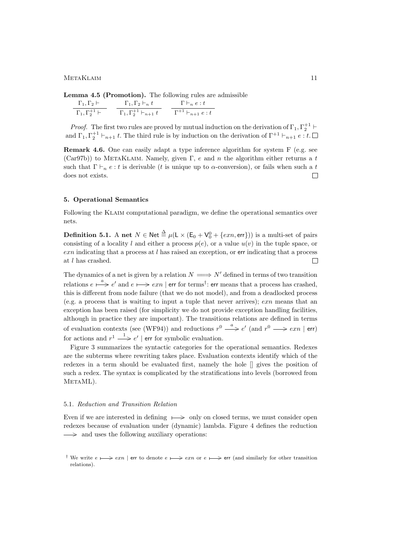Lemma 4.5 (Promotion). The following rules are admissible

| $\Gamma_1, \Gamma_2 \vdash$      | $\Gamma_1, \Gamma_2 \vdash_n t$          | $\Gamma\vdash_n e:t$             |
|----------------------------------|------------------------------------------|----------------------------------|
| $\Gamma_1, \Gamma_2^{+1} \vdash$ | $\Gamma_1, \Gamma_2^{+1} \vdash_{n+1} t$ | $\Gamma^{+1} \vdash_{n+1} e : t$ |

*Proof.* The first two rules are proved by mutual induction on the derivation of  $\Gamma_1, \Gamma_2^{+1}$ and  $\Gamma_1, \Gamma_2^{+1} \vdash_{n+1} t$ . The third rule is by induction on the derivation of  $\Gamma^{+1} \vdash_{n+1} e : t$ .

Remark 4.6. One can easily adapt a type inference algorithm for system F (e.g. see (Car97b)) to METAKLAIM. Namely, given  $\Gamma$ , e and n the algorithm either returns a t such that  $\Gamma \vdash_n e : t$  is derivable (t is unique up to  $\alpha$ -conversion), or fails when such a t does not exists.  $\Box$ 

# 5. Operational Semantics

Following the Klaim computational paradigm, we define the operational semantics over nets.

**Definition 5.1.** A net  $N \in \mathsf{Net} \stackrel{\Delta}{=} \mu(\mathsf{L} \times (\mathsf{E}_0 + \mathsf{V}_0^0 + \{\textit{exn}, \textit{err}\}))$  is a multi-set of pairs consisting of a locality l and either a process  $p(e)$ , or a value  $u(v)$  in the tuple space, or  $exn$  indicating that a process at l has raised an exception, or err indicating that a process at l has crashed.  $\Box$ 

The dynamics of a net is given by a relation  $N \implies N'$  defined in terms of two transition relations  $e \stackrel{a}{\longmapsto} e'$  and  $e \longmapsto e x n \mid \text{err for terms}^{\dagger}$ : err means that a process has crashed, this is different from node failure (that we do not model), and from a deadlocked process (e.g. a process that is waiting to input a tuple that never arrives);  $exn$  means that an exception has been raised (for simplicity we do not provide exception handling facilities, although in practice they are important). The transitions relations are defined in terms of evaluation contexts (see (WF94)) and reductions  $r^0 \stackrel{a}{\longrightarrow} e'$  (and  $r^0 \longrightarrow e x n$  | err) for actions and  $r^1 \longrightarrow e'$  | err for symbolic evaluation.

Figure 3 summarizes the syntactic categories for the operational semantics. Redexes are the subterms where rewriting takes place. Evaluation contexts identify which of the redexes in a term should be evaluated first, namely the hole [] gives the position of such a redex. The syntax is complicated by the stratifications into levels (borrowed from MetaML).

#### 5.1. Reduction and Transition Relation

Even if we are interested in defining  $\rightarrow$  only on closed terms, we must consider open redexes because of evaluation under (dynamic) lambda. Figure 4 defines the reduction  $\longrightarrow$  and uses the following auxiliary operations:

<sup>&</sup>lt;sup>†</sup> We write  $e \mapsto \exp | \text{err to denote } e \mapsto \exp \text{ or } e \mapsto \exp ( \text{and similarly for other transition})$ relations).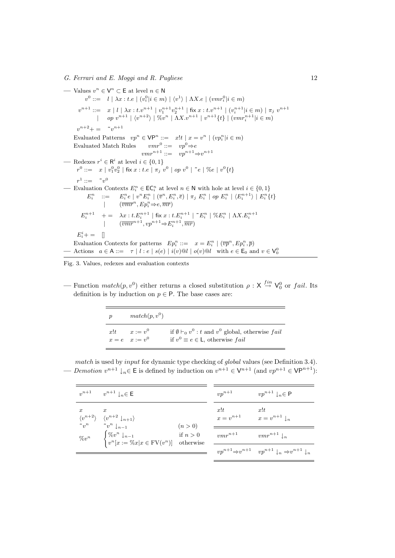— Values  $v^n \in \mathsf{V}^n \subset \mathsf{E}$  at level  $n \in \mathsf{N}$  $v^0 ::= \quad l\, \mid \lambda x : t.e \mid (v_i^0 | i \in m) \mid \langle v^1 \rangle \mid \Lambda X.e \mid (v m r_i^0 | i \in m)$  $v^{n+1} ::= x \mid l \mid \lambda x : t \cdot v^{n+1} \mid v_1^{n+1} v_2^{n+1} \mid \text{fix } x : t \cdot v^{n+1} \mid (v_i^{n+1} | i \in m) \mid \pi_j v^{n+1}$ | op  $v^{n+1} | \langle v^{n+2} \rangle | \% v^n | \Lambda X . v^{n+1} | v^{n+1} \{t\} | (v m r_i^{n+1} | i \in m)$  $v^{n+2} = v^{n+1}$ Evaluated Patterns  $vp^n \in \mathsf{VP}^n ::= x!t \mid x = v^n \mid (vp_i^n | i \in m)$ Evaluated Match Rules  $vmr^0 ::= vp^0 \Rightarrow e$  $vmr^{n+1} ::= \quad vp^{n+1} \Rightarrow v^{n+1}$ — Redexes  $r^i \in \mathsf{R}^i$  at level  $i \in \{0,1\}$  $r^0 ::= \;\;\; x \; | \; v_1^0 v_2^0 \; | \; \textsf{fix} \; x : t.e \; | \; \pi_j \; v^0 \; | \; \textit{op} \; v^0 \; | \; \tilde{\;\;} e \; | \; \% e \; | \; v^0 \{t\}$  $r^1 ::= \tilde{v}^0$ — Evaluation Contexts  $E_i^n \in \mathsf{EC}_i^n$  at level  $n \in \mathbb{N}$  with hole at level  $i \in \{0,1\}$  $E_i^n$  ::=  $E_i^n e | v^n E_i^n | (\overline{v}^n, E_i^n, \overline{e}) | \pi_j E_i^n | op E_i^n | \langle E_i^{n+1} \rangle | E_i^n \{t\}$  $|\qquad (\overline{vmr}^n, Ep_i^n\Rightarrow e, \overline{mr})$  $E_i^{n+1} + = \lambda x : t.E_i^{n+1} | \operatorname{fix} x : t.E_i^{n+1} | ^\sim E_i^n | ^\% E_i^n | ^\Lambda X.E_i^{n+1} | \over (vm^{n+1}, vp^{n+1} \Rightarrow E_i^{n+1}, \overline{mr})$  $E_i^i += \square$ Evaluation Contexts for patterns  $E p_i^n ::= x = E_i^n | (\overline{vp}^n, E p_i^n, \overline{p})$ — Actions  $a \in A ::= \tau | l : e | s(e) | i(v)@l | o(v)@l$  with  $e \in E_0$  and  $v \in V_0^0$ 

Fig. 3. Values, redexes and evaluation contexts

— Function  $match(p, v^0)$  either returns a closed substitution  $\rho : X \stackrel{fin}{\rightarrow} V_0^0$  or fail. Its definition is by induction on  $p \in P$ . The base cases are:

| $\boldsymbol{p}$ | $match(p, v^0)$            |                                                                                                              |
|------------------|----------------------------|--------------------------------------------------------------------------------------------------------------|
| x!t              | $x:=v^0$<br>$x=e$ $x:=v^0$ | if $\emptyset \vdash_0 v^0 : t$ and $v^0$ global, otherwise fail<br>if $v^0 \equiv e \in L$ , otherwise fail |

match is used by *input* for dynamic type checking of *global* values (see Definition 3.4). — *Demotion*  $v^{n+1} \downarrow_n \in \mathsf{E}$  is defined by induction on  $v^{n+1} \in \mathsf{V}^{n+1}$  (and  $vp^{n+1} \in \mathsf{V}^{n+1}$ ):

|                                   | $v^{n+1} \qquad v^{n+1} \downarrow_{n} \in \mathsf{E}$                                                                                       |       | $vp^{n+1}$         | $vp^{n+1}$ $\downarrow$ <sub>n</sub> $\in$ P                                            |
|-----------------------------------|----------------------------------------------------------------------------------------------------------------------------------------------|-------|--------------------|-----------------------------------------------------------------------------------------|
| $\boldsymbol{x}$<br>$\tilde{v}^n$ | $\langle v^{n+2} \rangle$ $\langle v^{n+2} \downarrow_{n+1} \rangle$<br>$\tilde{v}^n \downarrow_{n-1}$                                       | (n>0) | x!t<br>$x=v^{n+1}$ | x!t<br>$x=v^{n+1}\downarrow_n$                                                          |
|                                   | $\%v^n \qquad \begin{cases} \%v^n\downarrow_{n-1} & \text{if } n > 0 \\ v^n[x:=\%x   x \in \mathrm{FV}(v^n)] & \text{otherwise} \end{cases}$ |       | $vmr^{n+1}$        | $vmr^{n+1}$ $\downarrow$ <sub>n</sub>                                                   |
|                                   |                                                                                                                                              |       |                    | $vp^{n+1} \Rightarrow v^{n+1}$ $vp^{n+1} \downarrow_n \Rightarrow v^{n+1} \downarrow_n$ |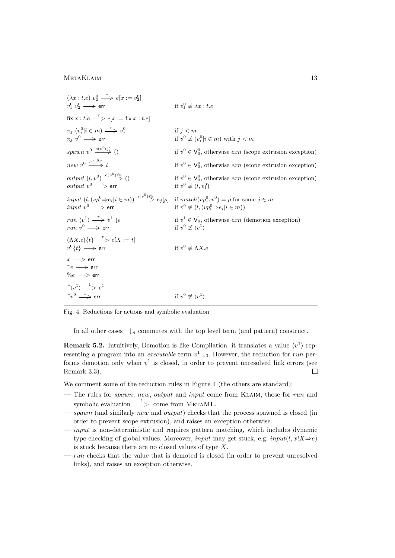$(\lambda x : t.e) v_2^0 \longrightarrow e[x := v_2^0]$  $v_1^0$   $v_2^0 \longrightarrow$  err if v  $b_1^0 \not\equiv \lambda x : t.e$ fix  $x : t.e \longrightarrow e[x := \text{fix } x : t.e]$  $\pi_j \, (v_i^0 | i \in m) \longrightarrow v_j^0$  if j<br>  $\pi_j \, v^0 \longrightarrow \text{err}$  if v if  $i < m$  $\psi^{0} \not\equiv (v_i^{0} | i \in m)$  with  $j < m$  $span\ v^0 \stackrel{s(v^0(\lambda))}{\longrightarrow} ()$  if v  $0 \in V_0^0$ , otherwise  $exn$  (scope extrusion exception)  $new\ v^0 \ \stackrel{l:(v^0l)}{\longrightarrow}$  $\stackrel{\sim}{\Rightarrow} l$  if v  $0 \in V_0^0$ , otherwise *exn* (scope extrusion exception) output  $(l, v^0) \xrightarrow{o(v^0) \otimes l}$  () if v  $0 \in V_0^0$ , otherwise *exn* (scope extrusion exception) output  $v^0 \longrightarrow$  err if v  $^{0} \not\equiv (l, v_1^0)$  $input (l, (vp_i^0 \Rightarrow e_i | i \in m)) \xrightarrow{i(v^0) \otimes l} e_j[\rho]$  if  $match(vp_j^0, v^0) = \rho$  for some  $j \in m$ input  $v^0 \longrightarrow$  err <sup>0</sup>  $\not\equiv$   $(l, (vp_i^0 \Rightarrow e_i | i \in m))$ run  $\langle v^1 \rangle \stackrel{\tau}{\longrightarrow} v^1$  $\downarrow$ <sup>0</sup> if  $v^1 \in V_0^1$ , otherwise *exn* (demotion exception)  $run\stackrel{\cdot}{v}^0 \longrightarrow err$  $\phi^0 \not\equiv \langle v^1 \rangle$  $(\Lambda X.e)\{t\} \stackrel{\tau}{\longrightarrow} e[X := t]$  $v^0\{t\} \longrightarrow \text{err}$  if v  $\phi^0 \not\equiv \Lambda X.e$  $x \longrightarrow$ err  $\tilde{e} \longrightarrow$ err  $\%e \longrightarrow$ err  $\tilde{v}$ <sup>1</sup> $\longrightarrow v$ <sup>1</sup>  $\tilde{v}^0 \longrightarrow \text{err}$  if v  $v^0 \not\equiv \langle v^1 \rangle$ 

Fig. 4. Reductions for actions and symbolic evaluation

In all other cases  $\Box_n$  commutes with the top level term (and pattern) construct.

**Remark 5.2.** Intuitively, Demotion is like Compilation: it translates a value  $\langle v^1 \rangle$  representing a program into an *executable* term  $v^1 \downarrow_0$ . However, the reduction for run performs demotion only when  $v^1$  is closed, in order to prevent unresolved link errors (see Remark 3.3).  $\Box$ 

We comment some of the reduction rules in Figure 4 (the others are standard):

- The rules for *spawn*, new, output and *input* come from KLAIM, those for run and symbolic evaluation  $\longrightarrow$  come from METAML.
- $-$  spawn (and similarly new and output) checks that the process spawned is closed (in order to prevent scope extrusion), and raises an exception otherwise.
- input is non-deterministic and requires pattern matching, which includes dynamic type-checking of global values. Moreover, *input* may get stuck, e.g.  $input(l, x!X \Rightarrow e)$ is stuck because there are no closed values of type  $X$ .
- $-$  run checks that the value that is demoted is closed (in order to prevent unresolved links), and raises an exception otherwise.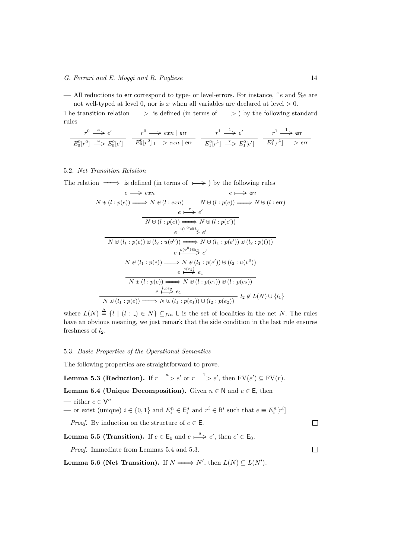— All reductions to err correspond to type- or level-errors. For instance,  $\tilde{e}$  and  $\%e$  are not well-typed at level 0, nor is x when all variables are declared at level  $> 0$ .

The transition relation  $\rightarrow$  is defined (in terms of  $\rightarrow$  ) by the following standard rules

$$
\frac{r^0 \xrightarrow{a} e'}{E_0^0[r^0] \xrightarrow{a} E_0^0[e']}\n\quad\n\frac{r^0 \xrightarrow{a} \exp \mid \text{err}}{E_0^0[r^0] \longmapsto \exp \mid \text{err}}\n\quad\n\frac{r^1 \xrightarrow{1} e'}{E_1^0[r^1] \xrightarrow{r} E_1^0[e']} \n\quad\n\frac{r^1 \xrightarrow{1} \exp \mid \text{err}}{E_1^0[r^1] \xrightarrow{r} E_1^0[e']} \n\frac{r^1 \xrightarrow{1} e'}{E_1^0[r^1] \xrightarrow{r} E_1^0[e']} \n\frac{r^1 \xrightarrow{1} e'}{E_1^0[r^1] \xrightarrow{r} E_1^0[e']} \n\frac{r^1 \xrightarrow{1} e'}{E_1^0[r^1] \xrightarrow{r} E_1^0[e']} \n\frac{r^1 \xrightarrow{1} e'}{E_1^0[r^1] \xrightarrow{r} E_1^0[e']} \n\frac{r^1 \xrightarrow{1} e'}{E_1^0[r^1] \xrightarrow{r} E_1^0[e']} \n\frac{r^1 \xrightarrow{1} e'}{E_1^0[r^1] \xrightarrow{r} E_1^0[e']} \n\frac{r^1 \xrightarrow{1} e'}{E_1^0[r^1] \xrightarrow{r} E_1^0[e']} \n\frac{r^1 \xrightarrow{1} e'}{E_1^0[r^1] \xrightarrow{r} E_1^0[e']} \n\frac{r^1 \xrightarrow{1} e'}{E_1^0[r^1] \xrightarrow{r} E_1^0[e']} \n\frac{r^1 \xrightarrow{1} e'}{E_1^0[r^1] \xrightarrow{r} E_1^0[e']} \n\frac{r^1 \xrightarrow{1} e'}{E_1^0[r^1] \xrightarrow{r} E_1^0[e']} \n\frac{r^1 \xrightarrow{1} e'}{E_1^0[r^1] \xrightarrow{r} E_1^0[e']} \n\frac{r^1 \xrightarrow{1} e'}{E_1^0[r^1] \xrightarrow{r} E_1^0[e']} \n\frac{r^1 \xrightarrow{1} e'}{E_1^0[r^1] \xrightarrow{r} E_1^0[e']} \n\frac{r^1 \xrightarrow{1} e'}{E_1^0[r^1] \xrightarrow{r} E_1^0
$$

## 5.2. Net Transition Relation

The relation  $\implies$  is defined (in terms of  $\mapsto$ ) by the following rules

$$
e \longmapsto exn \qquad e \longmapsto \text{err}
$$
\n
$$
N \oplus (l : p(e)) \Longrightarrow N \oplus (l : e x n) \qquad N \oplus (l : p(e)) \Longrightarrow N \oplus (l : \text{err})
$$
\n
$$
e \longmapsto e'
$$
\n
$$
N \oplus (l : p(e)) \Longrightarrow N \oplus (l : p(e'))
$$
\n
$$
e \xrightarrow{i(v^0) \otimes l_2} e'
$$
\n
$$
N \oplus (l_1 : p(e)) \oplus (l_2 : u(v^0)) \Longrightarrow N \oplus (l_1 : p(e')) \oplus (l_2 : p(()))
$$
\n
$$
e \xrightarrow{e'(v^0) \otimes l_2} e'
$$
\n
$$
N \oplus (l_1 : p(e)) \Longrightarrow N \oplus (l_1 : p(e')) \oplus (l_2 : u(v^0))
$$
\n
$$
e \xrightarrow{e' \oplus 2} e_1
$$
\n
$$
N \oplus (l : p(e)) \Longrightarrow N \oplus (l : p(e_1)) \oplus (l : p(e_2))
$$
\n
$$
e \xrightarrow{l_2 : e_2} e_1
$$
\n
$$
N \oplus (l_1 : p(e)) \Longrightarrow N \oplus (l_1 : p(e_1)) \oplus (l_2 : p(e_2)) \qquad l_2 \notin L(N) \cup \{l_1\}
$$

where  $L(N) \triangleq \{l \mid (l : .) \in N\} \subseteq_{fin} L$  is the set of localities in the net N. The rules have an obvious meaning, we just remark that the side condition in the last rule ensures freshness of  $l_2$ .

# 5.3. Basic Properties of the Operational Semantics

The following properties are straightforward to prove.

**Lemma 5.3 (Reduction).** If 
$$
r \xrightarrow{a} e'
$$
 or  $r \xrightarrow{1} e'$ , then  $FV(e') \subseteq FV(r)$ .

**Lemma 5.4 (Unique Decomposition).** Given  $n \in \mathbb{N}$  and  $e \in \mathsf{E}$ , then

```
— either e \in \mathsf{V}^n
```
— or exist (unique) 
$$
i \in \{0,1\}
$$
 and  $E_i^n \in \mathsf{E}_i^n$  and  $r^i \in \mathsf{R}^i$  such that  $e \equiv E_i^n[r^i]$ 

*Proof.* By induction on the structure of  $e \in \mathsf{E}$ .

**Lemma 5.5 (Transition).** If  $e \in \mathsf{E}_0$  and  $e \stackrel{a}{\longmapsto} e'$ , then  $e' \in \mathsf{E}_0$ .

Proof. Immediate from Lemmas 5.4 and 5.3.

**Lemma 5.6 (Net Transition).** If  $N \longrightarrow N'$ , then  $L(N) \subseteq L(N')$ .

 $\Box$ 

 $\Box$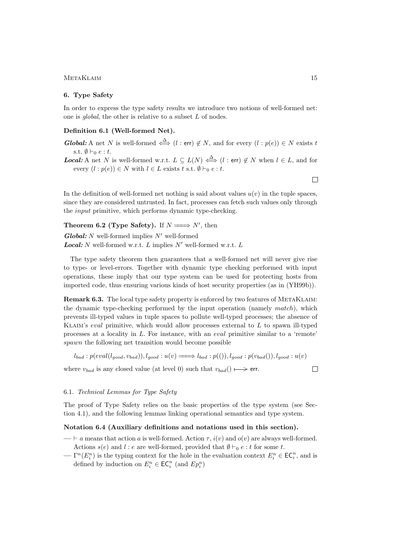## 6. Type Safety

In order to express the type safety results we introduce two notions of well-formed net: one is global, the other is relative to a subset L of nodes.

# Definition 6.1 (Well-formed Net).

- **Global:** A net N is well-formed  $\iff (l : \text{err}) \notin N$ , and for every  $(l : p(e)) \in N$  exists t s.t.  $\emptyset \vdash_0 e : t$ .
- **Local:** A net N is well-formed w.r.t.  $L \subseteq L(N) \iff (l : \text{err}) \notin N$  when  $l \in L$ , and for every  $(l : p(e)) \in N$  with  $l \in L$  exists t s.t.  $\emptyset \vdash_0 e : t$ .

In the definition of well-formed net nothing is said about values  $u(v)$  in the tuple spaces, since they are considered untrusted. In fact, processes can fetch such values only through the input primitive, which performs dynamic type-checking.

# **Theorem 6.2 (Type Safety).** If  $N \longrightarrow N'$ , then

 $Global: N$  well-formed implies  $N'$  well-formed **Local:** N well-formed w.r.t. L implies  $N'$  well-formed w.r.t. L

The type safety theorem then guarantees that a well-formed net will never give rise to type- or level-errors. Together with dynamic type checking performed with input operations, these imply that our type system can be used for protecting hosts from imported code, thus ensuring various kinds of host security properties (as in (YH99b)).

Remark 6.3. The local type safety property is enforced by two features of METAKLAIM: the dynamic type-checking performed by the input operation (namely match), which prevents ill-typed values in tuple spaces to pollute well-typed processes; the absence of Klaim's eval primitive, which would allow processes external to L to spawn ill-typed processes at a locality in  $L$ . For instance, with an *eval* primitive similar to a 'remote' spawn the following net transition would become possible

 $l_{bad}: p(eval(l_{good}, v_{bad})), l_{good}: u(v) \longrightarrow l_{bad}: p(()), l_{good}: p(v_{bad})), l_{good}: u(v)$ 

where  $v_{bad}$  is any closed value (at level 0) such that  $v_{bad}$ ()  $\longmapsto$  err.

 $\Box$ 

## 6.1. Technical Lemmas for Type Safety

The proof of Type Safety relies on the basic properties of the type system (see Section 4.1), and the following lemmas linking operational semantics and type system.

## Notation 6.4 (Auxiliary definitions and notations used in this section).

- $\vdash a$  means that action a is well-formed. Action  $\tau$ ,  $i(v)$  and  $o(v)$  are always well-formed. Actions  $s(e)$  and  $l : e$  are well-formed, provided that  $\emptyset \vdash_0 e : t$  for some t.
- $-\Gamma^{n}(E_{i}^{n})$  is the typing context for the hole in the evaluation context  $E_{i}^{n} \in \mathsf{EC}_{i}^{n}$ , and is defined by induction on  $E_i^n \in \mathsf{EC}_i^n$  (and  $Ep_i^n$ )

 $\Box$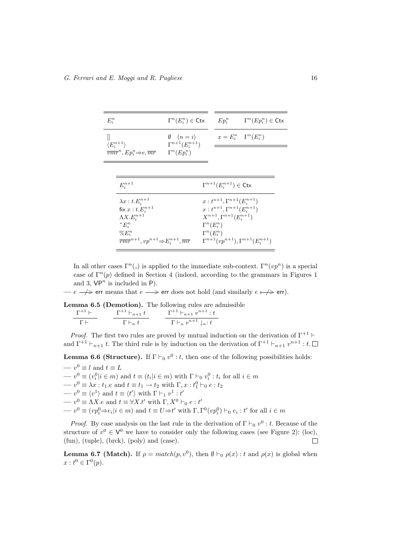| $E_i^n$                                                                                  | $\Gamma^n(E_i^n) \in \mathsf{Ctx}$                                       | $Ep^n_i$ | $\Gamma^n (Ep_i^n) \in \mathsf{Ctx}$ |
|------------------------------------------------------------------------------------------|--------------------------------------------------------------------------|----------|--------------------------------------|
| $\langle E_i^{n+1} \rangle$<br>$\overline{vmr}^n$ , $Ep_i^n\Rightarrow e, \overline{mr}$ | $\emptyset$ $(n = i)$<br>$\Gamma^{n+1}(E_i^{n+1})$<br>$\Gamma^n(Ep_i^n)$ |          | $x=E_i^n$ $\Gamma^n(E_i^n)$          |

| $E_i^{n+1}$                                                                                                | $\Gamma^{n+1}(E_i^{n+1}) \in \text{Ctx}$          |
|------------------------------------------------------------------------------------------------------------|---------------------------------------------------|
| $\lambda x : t.E_i^{n+1}$                                                                                  | $x: t^{n+1}, \Gamma^{n+1}(E_i^{n+1})$             |
| fix $x : t.E_i^{n+1}$                                                                                      | $x: t^{n+1}, \Gamma^{n+1}(E_i^{n+1})$             |
| $\Lambda X.E_i^{n+1}$                                                                                      | $X^{n+1}, \Gamma^{n+1}(E_i^{n+1})$                |
| $\tilde{\ }$ $E_i^n$                                                                                       | $\Gamma^n(E_i^n)$                                 |
| $\mathcal{C}_0 E_i^n$                                                                                      | $\Gamma^n(E_i^n)$                                 |
| $\overline{v} \overline{m} \overline{r}^{n+1}, v p^{n+1} \Rightarrow E_i^{n+1}, \overline{m} \overline{r}$ | $\Gamma^{n+1}(vp^{n+1}), \Gamma^{n+1}(E_i^{n+1})$ |

In all other cases  $\Gamma^{n}(\cdot)$  is applied to the immediate sub-context.  $\Gamma^{n}(vp^{n})$  is a special case of  $\Gamma^{n}(p)$  defined in Section 4 (indeed, according to the grammars in Figures 1 and 3,  $VP<sup>n</sup>$  is included in P).

—  $e \rightarrow e$  err means that  $e \rightarrow e$  err does not hold (and similarly  $e \rightarrow e$  err).

Lemma 6.5 (Demotion). The following rules are admissible

| $\Gamma^{+1}$   | $\Gamma^{+1} \vdash_{n+1} t$ | $\Gamma^{+1} \vdash_{n+1} v^{n+1} : t$ |
|-----------------|------------------------------|----------------------------------------|
| $\Gamma \vdash$ | $\Gamma\vdash_n t$           | $\Gamma\vdash_n v^{n+1}\downarrow_n:t$ |

*Proof.* The first two rules are proved by mutual induction on the derivation of  $\Gamma^{+1} \vdash$ and  $\Gamma^{+1} \vdash_{n+1} t$ . The third rule is by induction on the derivation of  $\Gamma^{+1} \vdash_{n+1} v^{n+1}$ : t.

**Lemma 6.6 (Structure).** If  $\Gamma \vdash_0 v^0 : t$ , then one of the following possibilities holds:  $-v<sup>0</sup> \equiv l$  and  $t \equiv L$  $- v^0 \equiv (v_i^0 | i \in m)$  and  $t \equiv (t_i | i \in m)$  with  $\Gamma \vdash_0 v_i^0 : t_i$  for all  $i \in m$ 

- $v<sup>0</sup> \equiv \lambda x : t_1.e$  and  $t \equiv t_1 \rightarrow t_2$  with  $\Gamma, x : t_1^0 \vdash_0 e : t_2$
- $-v^0 \equiv \langle v^1 \rangle$  and  $t \equiv \langle t' \rangle$  with  $\Gamma \vdash_1 v^1 : t'$
- $v^0 \equiv \Lambda X.e$  and  $t \equiv \forall X.t'$  with  $\Gamma, X^0 \vdash_0 e : t'$
- $v^0 \equiv (vp_i^0 \Rightarrow e_i | i \in m)$  and  $t \equiv U \Rightarrow t'$  with  $\Gamma, \Gamma^0 (vp_i^0) \vdash_0 e_i : t'$  for all  $i \in m$

*Proof.* By case analysis on the last rule in the derivation of  $\Gamma \vdash_0 v^0 : t$ . Because of the structure of  $v^0 \in V^0$  we have to consider only the following cases (see Figure 2): (loc), (fun), (tuple), (brck), (poly) and (case).

**Lemma 6.7 (Match).** If  $\rho = match(p, v^0)$ , then  $\emptyset \vdash_0 \rho(x) : t$  and  $\rho(x)$  is global when  $x:t^0 \in \Gamma^0(p).$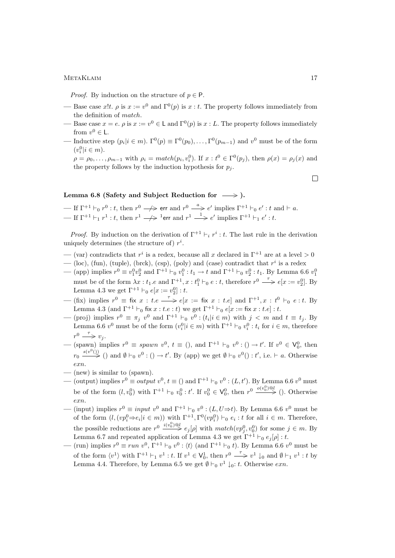*Proof.* By induction on the structure of  $p \in P$ .

- Base case x!t.  $\rho$  is  $x := v^0$  and  $\Gamma^0(p)$  is  $x : t$ . The property follows immediately from the definition of match.
- Base case  $x = e$ .  $\rho$  is  $x := v^0 \in \mathsf{L}$  and  $\Gamma^0(p)$  is  $x : L$ . The property follows immediately from  $v^0 \in \mathsf{L}$ .
- Inductive step  $(p_i | i \in m)$ .  $\Gamma^0(p) \equiv \Gamma^0(p_0), \ldots, \Gamma^0(p_{m-1})$  and  $v^0$  must be of the form  $(v_i^0 | i \in m).$

 $\rho = \rho_0, \ldots, \rho_{m-1}$  with  $\rho_i = match(p_i, v_i^0)$ . If  $x : t^0 \in \Gamma^0(p_j)$ , then  $\rho(x) = \rho_j(x)$  and the property follows by the induction hypothesis for  $p_i$ .

# Lemma 6.8 (Safety and Subject Reduction for  $\longrightarrow$ ).

— If  $\Gamma^{+1} \vdash_0 r^0 : t$ , then  $r^0 \longrightarrow$  err and  $r^0 \longrightarrow e'$  implies  $\Gamma^{+1} \vdash_0 e' : t$  and  $\vdash a$ . — If  $\Gamma^{+1} \vdash_1 r^1 : t$ , then  $r^1 \longrightarrow^1$ err and  $r^1 \stackrel{1}{\longrightarrow} e'$  implies  $\Gamma^{+1} \vdash_1 e' : t$ .

*Proof.* By induction on the derivation of  $\Gamma^{+1} \vdash_i r^i : t$ . The last rule in the derivation uniquely determines (the structure of)  $r^i$ .

- (var) contradicts that  $r^i$  is a redex, because all x declared in  $\Gamma^{+1}$  are at a level  $> 0$
- (loc), (fun), (tuple), (brck), (csp), (poly) and (case) contradict that  $r^i$  is a redex
- (app) implies  $r^0 \equiv v_1^0 v_2^0$  and  $\Gamma^{+1} \vdash_0 v_1^0 : t_1 \to t$  and  $\Gamma^{+1} \vdash_0 v_2^0 : t_1$ . By Lemma 6.6  $v_1^0$ must be of the form  $\lambda x : t_1.e$  and  $\Gamma^{+1}, x : t_1^0 \vdash_0 e : t$ , therefore  $r^0 \stackrel{\tau}{\longrightarrow} e[x := v_2^0]$ . By Lemma 4.3 we get  $\Gamma^{+1} \vdash_0 e[x := v_2^0] : t$ .
- $-$  (fix) implies  $r^0 \equiv$  fix  $x : t.e \longrightarrow e[x :=$  fix  $x : t.e]$  and  $\Gamma^{+1}, x : t^0 \vdash_0 e : t$ . By Lemma 4.3 (and  $\Gamma^{+1} \vdash_0$  fix  $x : t.e : t$ ) we get  $\Gamma^{+1} \vdash_0 e[x := f(x x : t.e] : t.$
- $-$  (proj) implies  $r^0 \equiv \pi_j v^0$  and  $\Gamma^{+1} \vdash_0 v^0 : (t_i | i \in m)$  with  $j < m$  and  $t \equiv t_j$ . By Lemma 6.6  $v^0$  must be of the form  $(v_i^0|i \in m)$  with  $\Gamma^{+1} \vdash_0 v_i^0 : t_i$  for  $i \in m$ , therefore  $r^0 \longrightarrow v_j$ .
- $(- \text{ (spam})$  implies  $r^0 \equiv span \ v^0, t \equiv 0)$ , and  $\Gamma^{+1} \vdash_0 v^0 : 0 \to t'$ . If  $v^0 \in V_0^0$ , then  $r_0 \xrightarrow{s(v^0(\lambda))} ()$  and  $\emptyset \vdash_0 v^0 : () \to t'$ . By (app) we get  $\emptyset \vdash_0 v^0() : t'$ , i.e.  $\vdash a$ . Otherwise exn.
- (new) is similar to (spawn).
- (output) implies  $r^0 \equiv output \ v^0, t \equiv ()$  and  $\Gamma^{+1} \vdash_0 v^0 : (L, t')$ . By Lemma 6.6  $v^0$  must be of the form  $(l, v_0^0)$  with  $\Gamma^{+1} \vdash_0 v_0^0 : t'$ . If  $v_0^0 \in V_0^0$ , then  $r^0 \stackrel{o(v_0^0) \otimes l}{\longrightarrow}$  (). Otherwise exn.
- (input) implies  $r^0 \equiv input \ v^0$  and  $\Gamma^{+1} \vdash_0 v^0 : (L, U \Rightarrow t)$ . By Lemma 6.6  $v^0$  must be of the form  $(l, (vp_i^0 \Rightarrow e_i | i \in m))$  with  $\Gamma^{+1}, \Gamma^0 (vp_i^0) \vdash_0 e_i : t$  for all  $i \in m$ . Therefore, the possible reductions are  $r^0 \stackrel{i(v_0^0) \otimes l}{\longrightarrow} e_j[\rho]$  with  $match(vp_j^0, v_0^0)$  for some  $j \in m$ . By Lemma 6.7 and repeated application of Lemma 4.3 we get  $\Gamma^{+1} \vdash_0 e_i [\rho] : t$ .
- (run) implies  $r^0 \equiv run \ v^0$ ,  $\Gamma^{+1} \vdash_0 v^0 : \langle t \rangle$  (and  $\Gamma^{+1} \vdash_0 t$ ). By Lemma 6.6  $v^0$  must be of the form  $\langle v^1 \rangle$  with  $\Gamma^{+1} \vdash_1 v^1 : t$ . If  $v^1 \in V_0^1$ , then  $r^0 \stackrel{\tau}{\longrightarrow} v^1 \downarrow_0$  and  $\emptyset \vdash_1 v^1 : t$  by Lemma 4.4. Therefore, by Lemma 6.5 we get  $\emptyset \vdash_0 v^1 \downarrow_0 : t$ . Otherwise  $exn$ .

 $\Box$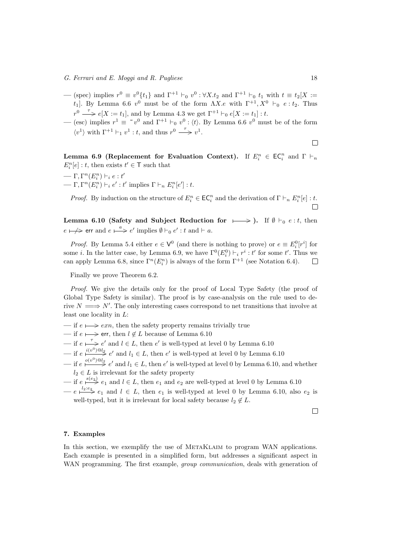- (spec) implies  $r^0 \equiv v^0\{t_1\}$  and  $\Gamma^{+1} \vdash_0 v^0 : \forall X.t_2$  and  $\Gamma^{+1} \vdash_0 t_1$  with  $t \equiv t_2[X :=$  $t_1$ ]. By Lemma 6.6  $v^0$  must be of the form  $\Lambda X.e$  with  $\Gamma^{+1}, X^0 \vdash_0 e : t_2$ . Thus  $r^0 \longrightarrow e[X := t_1]$ , and by Lemma 4.3 we get  $\Gamma^{+1} \vdash_0 e[X := t_1] : t$ .
- (esc) implies  $r^1 \equiv \tilde{v}^0$  and  $\Gamma^{+1} \vdash_0 v^0 : \langle t \rangle$ . By Lemma 6.6  $v^0$  must be of the form  $\langle v^1 \rangle$  with  $\Gamma^{+1} \vdash_1 v^1 : t$ , and thus  $r^0 \stackrel{\tau}{\longrightarrow} v^1$ .

 $\Box$ 

Lemma 6.9 (Replacement for Evaluation Context). If  $E_i^n \in \mathsf{EC}_i^n$  and  $\Gamma \vdash_n$  $E_i^n[e] : t$ , then exists  $t' \in \mathsf{T}$  such that

$$
\hspace{2cm}\longrightarrow \Gamma, \Gamma^{n}(E^{n}_{i}) \vdash_{i} e : t^{\prime}
$$

 $\hspace{0.1cm} \cdots \Gamma, \Gamma^n(E_i^n) \vdash_i e' : t' \text{ implies } \Gamma \vdash_n E_i^n[e'] : t.$ 

*Proof.* By induction on the structure of  $E_i^n \in \mathsf{EC}_i^n$  and the derivation of  $\Gamma \vdash_n E_i^n[e] : t$ .  $\Box$ 

Lemma 6.10 (Safety and Subject Reduction for  $\longmapsto$ ). If  $\emptyset \vdash_0 e : t$ , then  $e \mapsto$  err and  $e \stackrel{a}{\longmapsto} e'$  implies  $\emptyset \vdash_0 e' : t$  and  $\vdash a$ .

*Proof.* By Lemma 5.4 either  $e \in V^0$  (and there is nothing to prove) or  $e \equiv E_i^0[r^i]$  for some *i*. In the latter case, by Lemma 6.9, we have  $\Gamma^{0}(E_{i}^{0}) \vdash_{i} r^{i} : t'$  for some  $t'$ . Thus we can apply Lemma 6.8, since  $\Gamma^{n}(E_{i}^{n})$  is always of the form  $\Gamma^{+1}$  (see Notation 6.4).  $\Box$ 

Finally we prove Theorem 6.2.

Proof. We give the details only for the proof of Local Type Safety (the proof of Global Type Safety is similar). The proof is by case-analysis on the rule used to derive  $N \implies N'$ . The only interesting cases correspond to net transitions that involve at least one locality in L:

- $\frac{d}{dx}$  if  $e \mapsto \exp(-\sec x)$ , then the safety property remains trivially true
- if  $e \mapsto$  err, then  $l \notin L$  because of Lemma 6.10
- if  $e \stackrel{\tau}{\longmapsto} e'$  and  $l \in L$ , then  $e'$  is well-typed at level 0 by Lemma 6.10
- if  $e \stackrel{i(v^0) \otimes l_2}{\longrightarrow} e'$  and  $l_1 \in L$ , then  $e'$  is well-typed at level 0 by Lemma 6.10
- $\text{I}$  if  $e \stackrel{o(v^0) \otimes l_2}{\longrightarrow} e'$  and  $l_1 \in L$ , then  $e'$  is well-typed at level 0 by Lemma 6.10, and whether  $l_2 \in L$  is irrelevant for the safety property
- if  $e \stackrel{s(e_2)}{\longmapsto} e_1$  and  $l \in L$ , then  $e_1$  and  $e_2$  are well-typed at level 0 by Lemma 6.10
- $-e \xrightarrow{l_2:e_3} e_1$  and  $l \in L$ , then  $e_1$  is well-typed at level 0 by Lemma 6.10, also  $e_2$  is well-typed, but it is irrelevant for local safety because  $l_2 \notin L$ .

 $\Box$ 

## 7. Examples

In this section, we exemplify the use of METAKLAIM to program WAN applications. Each example is presented in a simplified form, but addresses a significant aspect in WAN programming. The first example, *group communication*, deals with generation of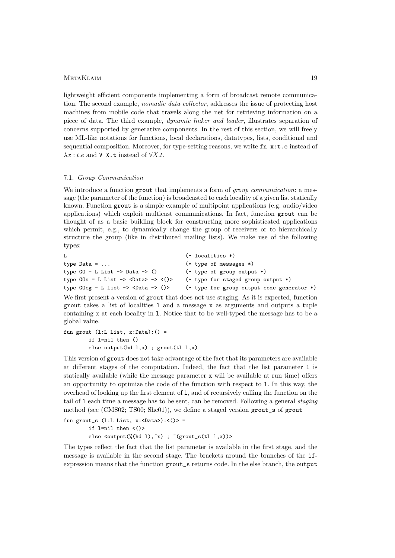lightweight efficient components implementing a form of broadcast remote communication. The second example, nomadic data collector, addresses the issue of protecting host machines from mobile code that travels along the net for retrieving information on a piece of data. The third example, dynamic linker and loader, illustrates separation of concerns supported by generative components. In the rest of this section, we will freely use ML-like notations for functions, local declarations, datatypes, lists, conditional and sequential composition. Moreover, for type-setting reasons, we write fn x:t.e instead of  $\lambda x : t.e$  and V X.t instead of  $\forall X.t$ .

## 7.1. Group Communication

We introduce a function grout that implements a form of *group communication*: a message (the parameter of the function) is broadcasted to each locality of a given list statically known. Function grout is a simple example of multipoint applications (e.g. audio/video applications) which exploit multicast communications. In fact, function grout can be thought of as a basic building block for constructing more sophisticated applications which permit, e.g., to dynamically change the group of receivers or to hierarchically structure the group (like in distributed mailing lists). We make use of the following types:

```
L (* localities *)
type Data = ... (* type of messages *)
type GO = L List \rightarrow Data \rightarrow () (* type of group output *)
type GOs = L List -> <Data> -> <()> (* type for staged group output *)
type GOcg = L List \rightarrow <Data \rightarrow ()> (* type for group output code generator *)
```
We first present a version of grout that does not use staging. As it is expected, function grout takes a list of localities l and a message x as arguments and outputs a tuple containing x at each locality in l. Notice that to be well-typed the message has to be a global value.

fun grout  $(l:L List, x:Data):($  = if l=nil then () else output(hd  $l, x$ ) ; grout(tl  $l, x$ )

This version of grout does not take advantage of the fact that its parameters are available at different stages of the computation. Indeed, the fact that the list parameter l is statically available (while the message parameter x will be available at run time) offers an opportunity to optimize the code of the function with respect to l. In this way, the overhead of looking up the first element of l, and of recursively calling the function on the tail of l each time a message has to be sent, can be removed. Following a general staging method (see (CMS02; TS00; She01)), we define a staged version grout\_s of grout

```
fun grout_s (l:L List, x: <Data>\gt;):\lt()> =
             if l=nil then <()>
             else \langle \text{output}(\lambda(\text{hd 1}), \tilde{x}) \rangle; \tilde{f}(\text{growth\_s(t1 1}, x))
```
The types reflect the fact that the list parameter is available in the first stage, and the message is available in the second stage. The brackets around the branches of the ifexpression means that the function grout\_s returns code. In the else branch, the output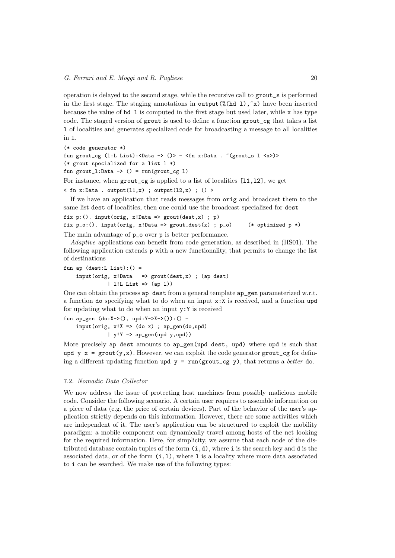operation is delayed to the second stage, while the recursive call to grout\_s is performed in the first stage. The staging annotations in output(%(hd 1), $\tilde{z}$ ) have been inserted because the value of hd l is computed in the first stage but used later, while x has type code. The staged version of grout is used to define a function grout\_cg that takes a list l of localities and generates specialized code for broadcasting a message to all localities in l.

```
(* code generator *)
fun grout_cg (l:L List):<Data -> ()> = <fn x:Data . "(grout_s l <x>)>
(* grout specialized for a list l *)
fun grout_1:Data \rightarrow () = run(grout_cg 1)
For instance, when grout_cg is applied to a list of localities [11,12], we get
```
 $\langle$  fn x:Data . output(11,x) ; output(12,x) ; () >

If we have an application that reads messages from orig and broadcast them to the same list dest of localities, then one could use the broadcast specialized for dest

fix  $p:$  (). input (orig, x!Data => grout (dest, x) ; p) fix  $p_0:()$ . input(orig, x!Data => grout\_dest(x) ;  $p_0$ ) (\* optimized p \*)

The main advantage of p\_o over p is better performance.

Adaptive applications can benefit from code generation, as described in (HS01). The following application extends p with a new functionality, that permits to change the list of destinations

```
fun ap dest:L List):( =
    input(orig, x!Data => growth(dest, x); (ap dest)
              | l!L List => (ap l))
```
One can obtain the process ap dest from a general template ap\_gen parameterized w.r.t. a function do specifying what to do when an input x:X is received, and a function upd for updating what to do when an input y:Y is received

fun ap\_gen  $(do:X->()$ , upd:Y->X->()):() =  $input(orig, x!X \implies (do x) ; ap\_gen(do,upd)$  $| y!Y \implies ap\_gen(upd y,upd))$ 

More precisely ap dest amounts to ap\_gen(upd dest, upd) where upd is such that upd y  $x = \text{growth}(y, x)$ . However, we can exploit the code generator grout\_cg for defining a different updating function upd  $y = run(grout_cg y)$ , that returns a *better* do.

## 7.2. Nomadic Data Collector

We now address the issue of protecting host machines from possibly malicious mobile code. Consider the following scenario. A certain user requires to assemble information on a piece of data (e.g. the price of certain devices). Part of the behavior of the user's application strictly depends on this information. However, there are some activities which are independent of it. The user's application can be structured to exploit the mobility paradigm: a mobile component can dynamically travel among hosts of the net looking for the required information. Here, for simplicity, we assume that each node of the distributed database contain tuples of the form  $(i, d)$ , where i is the search key and d is the associated data, or of the form  $(i,1)$ , where 1 is a locality where more data associated to i can be searched. We make use of the following types: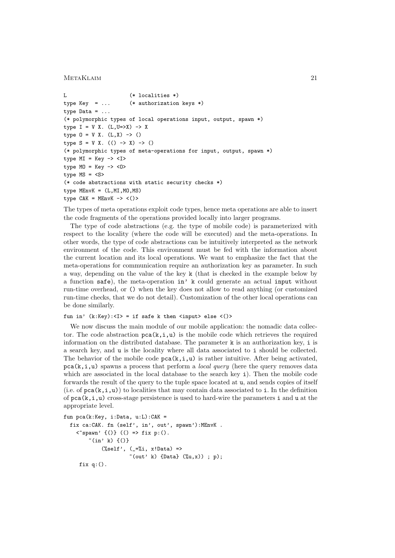```
L (* localities *)
type Key = ... (* authorization keys *)
type Data = \dots(* polymorphic types of local operations input, output, spawn *)
type I = V X. (L, U = > X) \rightarrow Xtype 0 = V X. (L,X) \rightarrow ()type S = V X. (() -> X) -> ()
(* polymorphic types of meta-operations for input, output, spawn *)
type MI = Key \rightarrow <I>type MO = Key \rightarrow <0>type MS = <S>(* code abstractions with static security checks *)
type MEnvK = (L, MI, MO, MS)type CAK = MEMvK \rightarrow \langle)
```
The types of meta operations exploit code types, hence meta operations are able to insert the code fragments of the operations provided locally into larger programs.

The type of code abstractions (e.g. the type of mobile code) is parameterized with respect to the locality (where the code will be executed) and the meta-operations. In other words, the type of code abstractions can be intuitively interpreted as the network environment of the code. This environment must be fed with the information about the current location and its local operations. We want to emphasize the fact that the meta-operations for communication require an authorization key as parameter. In such a way, depending on the value of the key k (that is checked in the example below by a function safe), the meta-operation in' k could generate an actual input without run-time overhead, or () when the key does not allow to read anything (or customized run-time checks, that we do not detail). Customization of the other local operations can be done similarly.

# fun in' (k:Key): $\langle I \rangle$  = if safe k then  $\langle$ input> else  $\langle$ ()>

We now discuss the main module of our mobile application: the nomadic data collector. The code abstraction  $pca(k,i,u)$  is the mobile code which retrieves the required information on the distributed database. The parameter k is an authorization key, i is a search key, and u is the locality where all data associated to i should be collected. The behavior of the mobile code  $\text{pca}(k,i,u)$  is rather intuitive. After being activated,  $pca(k,i,u)$  spawns a process that perform a *local query* (here the query removes data which are associated in the local database to the search key i). Then the mobile code forwards the result of the query to the tuple space located at u, and sends copies of itself (i.e. of  $pca(k,i,u)$ ) to localities that may contain data associated to i. In the definition of  $pca(k,i,u)$  cross-stage persistence is used to hard-wire the parameters i and u at the appropriate level.

```
fun pca(k:Key, i:Data, u:L):CAK =fix ca:CAK. fn (self', in', out', spawn'):MEnvK .
    \langle spawn' {()} (() => fix p:().
         \tilde{f}(in' k) \{(x)\}(\% self', (-=\& i, x! Data) =>
                        \tilde{c} (out' k) {Data} (%u,x)) ; p);
      fix q:().
```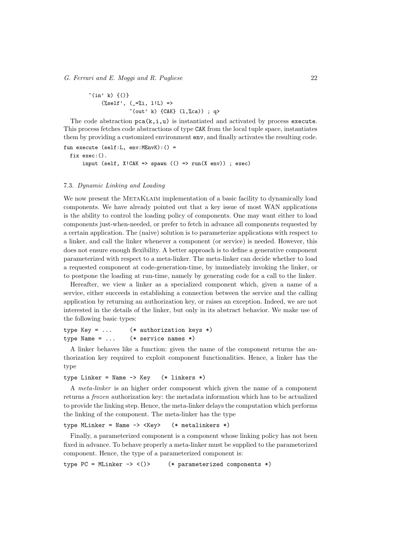$\tilde{m}(in' k)$  {()}  $(\% self', (-=\& i, 1!L) \Rightarrow$  $*(out' k) {CAK} (1, %ca)) ; q>$ 

The code abstraction  $pca(k,i,u)$  is instantiated and activated by process execute. This process fetches code abstractions of type CAK from the local tuple space, instantiates them by providing a customized environment env, and finally activates the resulting code.

```
fun execute (self:L, env:MEnvK):() =
  fix exec:().
      input (self, X!CAK \Rightarrow spawn (() => run(X env)) ; exec)
```
## 7.3. Dynamic Linking and Loading

We now present the METAKLAIM implementation of a basic facility to dynamically load components. We have already pointed out that a key issue of most WAN applications is the ability to control the loading policy of components. One may want either to load components just-when-needed, or prefer to fetch in advance all components requested by a certain application. The (naive) solution is to parameterize applications with respect to a linker, and call the linker whenever a component (or service) is needed. However, this does not ensure enough flexibility. A better approach is to define a generative component parameterized with respect to a meta-linker. The meta-linker can decide whether to load a requested component at code-generation-time, by immediately invoking the linker, or to postpone the loading at run-time, namely by generating code for a call to the linker.

Hereafter, we view a linker as a specialized component which, given a name of a service, either succeeds in establishing a connection between the service and the calling application by returning an authorization key, or raises an exception. Indeed, we are not interested in the details of the linker, but only in its abstract behavior. We make use of the following basic types:

```
type Key = ... (* authorization keys *)
type Name = \dots (* service names *)
```
A linker behaves like a function: given the name of the component returns the authorization key required to exploit component functionalities. Hence, a linker has the type

```
type Linker = Name \rightarrow Key (* linkers *)
```
A meta-linker is an higher order component which given the name of a component returns a frozen authorization key: the metadata information which has to be actualized to provide the linking step. Hence, the meta-linker delays the computation which performs the linking of the component. The meta-linker has the type

```
type MLinker = Name \rightarrow <Key> (* metalinkers *)
```
Finally, a parameterized component is a component whose linking policy has not been fixed in advance. To behave properly a meta-linker must be supplied to the parameterized component. Hence, the type of a parameterized component is:

type PC = MLinker -> <()> (\* parameterized components \*)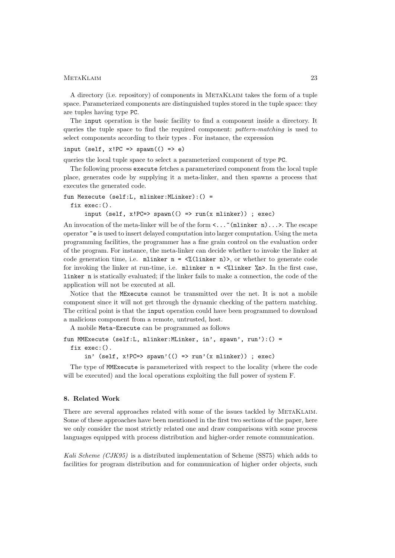A directory (i.e. repository) of components in MetaKlaim takes the form of a tuple space. Parameterized components are distinguished tuples stored in the tuple space: they are tuples having type PC.

The input operation is the basic facility to find a component inside a directory. It queries the tuple space to find the required component: pattern-matching is used to select components according to their types . For instance, the expression

input (self,  $x!PC \Rightarrow$  spawn(() => e)

queries the local tuple space to select a parameterized component of type PC.

The following process execute fetches a parameterized component from the local tuple place, generates code by supplying it a meta-linker, and then spawns a process that executes the generated code.

```
fun Mexecute (self:L, mlinker:MLinker):() =
  fix exec:().
```
input (self,  $x!PC=>$  spawn(() => run(x mlinker)) ; exec)

An invocation of the meta-linker will be of the form  $\langle \cdot, \cdot, \cdot \rangle$  (mlinker n)... >. The escape operator ~e is used to insert delayed computation into larger computation. Using the meta programming facilities, the programmer has a fine grain control on the evaluation order of the program. For instance, the meta-linker can decide whether to invoke the linker at code generation time, i.e. mlinker  $n = \langle \n\%$  (linker n)>, or whether to generate code for invoking the linker at run-time, i.e. mlinker  $n = \frac{\sqrt{1}}{2}$  inker  $n = \frac{1}{2}$ . In the first case, linker n is statically evaluated; if the linker fails to make a connection, the code of the application will not be executed at all.

Notice that the MExecute cannot be transmitted over the net. It is not a mobile component since it will not get through the dynamic checking of the pattern matching. The critical point is that the input operation could have been programmed to download a malicious component from a remote, untrusted, host.

A mobile Meta-Execute can be programmed as follows

```
fun MMExecute (self:L, mlinker:MLinker, in', spawn', run'):() =
  fix exec:().
```
in' (self,  $x!PC=>$  spawn'(() => run'( $x$  mlinker)) ; exec)

The type of MMExecute is parameterized with respect to the locality (where the code will be executed) and the local operations exploiting the full power of system F.

#### 8. Related Work

There are several approaches related with some of the issues tackled by METAKLAIM. Some of these approaches have been mentioned in the first two sections of the paper, here we only consider the most strictly related one and draw comparisons with some process languages equipped with process distribution and higher-order remote communication.

Kali Scheme (CJK95) is a distributed implementation of Scheme (SS75) which adds to facilities for program distribution and for communication of higher order objects, such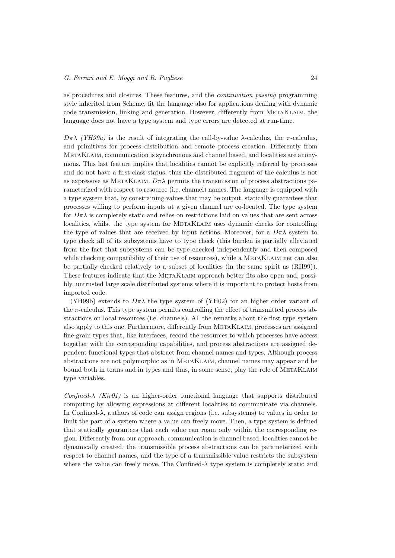as procedures and closures. These features, and the continuation passing programming style inherited from Scheme, fit the language also for applications dealing with dynamic code transmission, linking and generation. However, differently from METAKLAIM, the language does not have a type system and type errors are detected at run-time.

Dπλ (YH99a) is the result of integrating the call-by-value λ-calculus, the π-calculus, and primitives for process distribution and remote process creation. Differently from MetaKlaim, communication is synchronous and channel based, and localities are anonymous. This last feature implies that localities cannot be explicitly referred by processes and do not have a first-class status, thus the distributed fragment of the calculus is not as expressive as METAKLAIM.  $D\pi\lambda$  permits the transmission of process abstractions parameterized with respect to resource (i.e. channel) names. The language is equipped with a type system that, by constraining values that may be output, statically guarantees that processes willing to perform inputs at a given channel are co-located. The type system for  $D\pi\lambda$  is completely static and relies on restrictions laid on values that are sent across localities, whilst the type system for METAKLAIM uses dynamic checks for controlling the type of values that are received by input actions. Moreover, for a  $D\pi\lambda$  system to type check all of its subsystems have to type check (this burden is partially alleviated from the fact that subsystems can be type checked independently and then composed while checking compatibility of their use of resources), while a METAKLAIM net can also be partially checked relatively to a subset of localities (in the same spirit as (RH99)). These features indicate that the METAKLAIM approach better fits also open and, possibly, untrusted large scale distributed systems where it is important to protect hosts from imported code.

(YH99b) extends to  $D\pi\lambda$  the type system of (YH02) for an higher order variant of the  $\pi$ -calculus. This type system permits controlling the effect of transmitted process abstractions on local resources (i.e. channels). All the remarks about the first type system also apply to this one. Furthermore, differently from METAKLAIM, processes are assigned fine-grain types that, like interfaces, record the resources to which processes have access together with the corresponding capabilities, and process abstractions are assigned dependent functional types that abstract from channel names and types. Although process abstractions are not polymorphic as in MetaKlaim, channel names may appear and be bound both in terms and in types and thus, in some sense, play the role of METAKLAIM type variables.

Confined- $\lambda$  (Kir01) is an higher-order functional language that supports distributed computing by allowing expressions at different localities to communicate via channels. In Confined- $\lambda$ , authors of code can assign regions (i.e. subsystems) to values in order to limit the part of a system where a value can freely move. Then, a type system is defined that statically guarantees that each value can roam only within the corresponding region. Differently from our approach, communication is channel based, localities cannot be dynamically created, the transmissible process abstractions can be parameterized with respect to channel names, and the type of a transmissible value restricts the subsystem where the value can freely move. The Confined- $\lambda$  type system is completely static and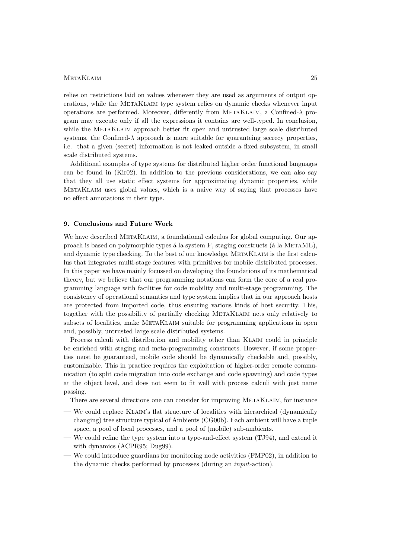# MetaKlaim 25

relies on restrictions laid on values whenever they are used as arguments of output operations, while the MetaKlaim type system relies on dynamic checks whenever input operations are performed. Moreover, differently from METAKLAIM, a Confined- $\lambda$  program may execute only if all the expressions it contains are well-typed. In conclusion, while the METAKLAIM approach better fit open and untrusted large scale distributed systems, the Confined- $\lambda$  approach is more suitable for guaranteing secrecy properties, i.e. that a given (secret) information is not leaked outside a fixed subsystem, in small scale distributed systems.

Additional examples of type systems for distributed higher order functional languages can be found in (Kir02). In addition to the previous considerations, we can also say that they all use static effect systems for approximating dynamic properties, while MetaKlaim uses global values, which is a naive way of saying that processes have no effect annotations in their type.

# 9. Conclusions and Future Work

We have described METAKLAIM, a foundational calculus for global computing. Our approach is based on polymorphic types  $\acute{a}$  la system  $F$ , staging constructs ( $\acute{a}$  la METAML), and dynamic type checking. To the best of our knowledge, METAKLAIM is the first calculus that integrates multi-stage features with primitives for mobile distributed processes. In this paper we have mainly focussed on developing the foundations of its mathematical theory, but we believe that our programming notations can form the core of a real programming language with facilities for code mobility and multi-stage programming. The consistency of operational semantics and type system implies that in our approach hosts are protected from imported code, thus ensuring various kinds of host security. This, together with the possibility of partially checking METAKLAIM nets only relatively to subsets of localities, make METAKLAIM suitable for programming applications in open and, possibly, untrusted large scale distributed systems.

Process calculi with distribution and mobility other than KLAIM could in principle be enriched with staging and meta-programming constructs. However, if some properties must be guaranteed, mobile code should be dynamically checkable and, possibly, customizable. This in practice requires the exploitation of higher-order remote communication (to split code migration into code exchange and code spawning) and code types at the object level, and does not seem to fit well with process calculi with just name passing.

There are several directions one can consider for improving METAKLAIM, for instance

- We could replace Klaim's flat structure of localities with hierarchical (dynamically changing) tree structure typical of Ambients (CG00b). Each ambient will have a tuple space, a pool of local processes, and a pool of (mobile) sub-ambients.
- We could refine the type system into a type-and-effect system (TJ94), and extend it with dynamics (ACPR95; Dug99).
- We could introduce guardians for monitoring node activities (FMP02), in addition to the dynamic checks performed by processes (during an input-action).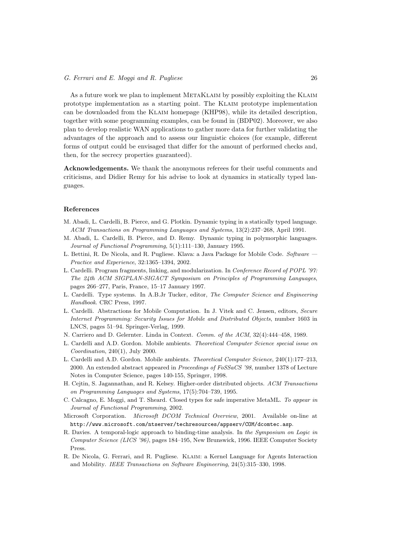As a future work we plan to implement METAKLAIM by possibly exploiting the KLAIM prototype implementation as a starting point. The Klaim prototype implementation can be downloaded from the KLAIM homepage (KHP98), while its detailed description, together with some programming examples, can be found in (BDP02). Moreover, we also plan to develop realistic WAN applications to gather more data for further validating the advantages of the approach and to assess our linguistic choices (for example, different forms of output could be envisaged that differ for the amount of performed checks and, then, for the secrecy properties guaranteed).

Acknowledgements. We thank the anonymous referees for their useful comments and criticisms, and Didier Remy for his advise to look at dynamics in statically typed languages.

#### References

- M. Abadi, L. Cardelli, B. Pierce, and G. Plotkin. Dynamic typing in a statically typed language. ACM Transactions on Programming Languages and Systems, 13(2):237–268, April 1991.
- M. Abadi, L. Cardelli, B. Pierce, and D. Remy. Dynamic typing in polymorphic languages. Journal of Functional Programming, 5(1):111–130, January 1995.
- L. Bettini, R. De Nicola, and R. Pugliese. Klava: a Java Package for Mobile Code. Software Practice and Experience, 32:1365–1394, 2002.
- L. Cardelli. Program fragments, linking, and modularization. In Conference Record of POPL '97: The 24th ACM SIGPLAN-SIGACT Symposium on Principles of Programming Languages, pages 266–277, Paris, France, 15–17 January 1997.
- L. Cardelli. Type systems. In A.B.Jr Tucker, editor, The Computer Science and Engineering Handbook. CRC Press, 1997.
- L. Cardelli. Abstractions for Mobile Computation. In J. Vitek and C. Jensen, editors, Secure Internet Programming: Security Issues for Mobile and Distributed Objects, number 1603 in LNCS, pages 51–94. Springer-Verlag, 1999.
- N. Carriero and D. Gelernter. Linda in Context. Comm. of the ACM, 32(4):444–458, 1989.
- L. Cardelli and A.D. Gordon. Mobile ambients. Theoretical Computer Science special issue on Coordination, 240(1), July 2000.
- L. Cardelli and A.D. Gordon. Mobile ambients. Theoretical Computer Science, 240(1):177–213, 2000. An extended abstract appeared in Proceedings of FoSSaCS '98, number 1378 of Lecture Notes in Computer Science, pages 140-155, Springer, 1998.
- H. Cejtin, S. Jagannathan, and R. Kelsey. Higher-order distributed objects. ACM Transactions on Programming Languages and Systems, 17(5):704–739, 1995.
- C. Calcagno, E. Moggi, and T. Sheard. Closed types for safe imperative MetaML. To appear in Journal of Functional Programming, 2002.
- Microsoft Corporation. Microsoft DCOM Technical Overview, 2001. Available on-line at http://www.microsoft.com/ntserver/techresources/appserv/COM/dcomtec.asp.
- R. Davies. A temporal-logic approach to binding-time analysis. In the Symposium on Logic in Computer Science (LICS '96), pages 184–195, New Brunswick, 1996. IEEE Computer Society Press.
- R. De Nicola, G. Ferrari, and R. Pugliese. Klaim: a Kernel Language for Agents Interaction and Mobility. IEEE Transactions on Software Engineering, 24(5):315–330, 1998.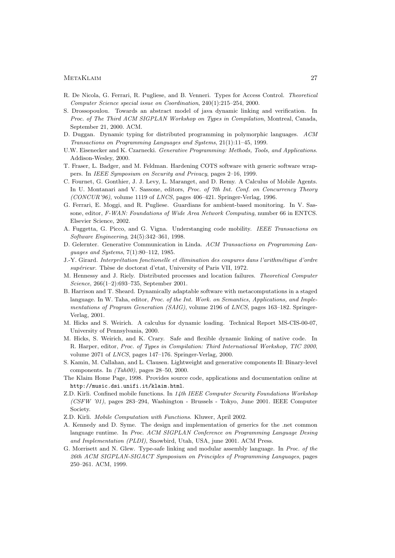## MetaKlaim 27

- R. De Nicola, G. Ferrari, R. Pugliese, and B. Venneri. Types for Access Control. Theoretical Computer Science special issue on Coordination, 240(1):215–254, 2000.
- S. Drossopoulou. Towards an abstract model of java dynamic linking and verification. In Proc. of The Third ACM SIGPLAN Workshop on Types in Compilation, Montreal, Canada, September 21, 2000. ACM.
- D. Duggan. Dynamic typing for distributed programming in polymorphic languages. ACM Transactions on Programming Languages and Systems, 21(1):11–45, 1999.
- U.W. Eisenecker and K. Czarnecki. Generative Programming: Methods, Tools, and Applications. Addison-Wesley, 2000.
- T. Fraser, L. Badger, and M. Feldman. Hardening COTS software with generic software wrappers. In IEEE Symposium on Security and Privacy, pages 2–16, 1999.
- C. Fournet, G. Gonthier, J. J. Levy, L. Maranget, and D. Remy. A Calculus of Mobile Agents. In U. Montanari and V. Sassone, editors, Proc. of 7th Int. Conf. on Concurrency Theory  $(CONCUR'96)$ , volume 1119 of *LNCS*, pages 406–421. Springer-Verlag, 1996.
- G. Ferrari, E. Moggi, and R. Pugliese. Guardians for ambient-based monitoring. In V. Sassone, editor, F-WAN: Foundations of Wide Area Network Computing, number 66 in ENTCS. Elsevier Science, 2002.
- A. Fuggetta, G. Picco, and G. Vigna. Understanging code mobility. IEEE Transactions on Software Engineering, 24(5):342–361, 1998.
- D. Gelernter. Generative Communication in Linda. ACM Transactions on Programming Languages and Systems, 7(1):80–112, 1985.
- J.-Y. Girard. Interprétation fonctionelle et élimination des coupures dans l'arithmétique d'ordre supérieur. Thèse de doctorat d'etat, University of Paris VII, 1972.
- M. Hennessy and J. Riely. Distributed processes and location failures. Theoretical Computer Science, 266(1–2):693–735, September 2001.
- B. Harrison and T. Sheard. Dynamically adaptable software with metacomputations in a staged language. In W. Taha, editor, Proc. of the Int. Work. on Semantics, Applications, and Implementations of Program Generation (SAIG), volume 2196 of LNCS, pages 163–182. Springer-Verlag, 2001.
- M. Hicks and S. Weirich. A calculus for dynamic loading. Technical Report MS-CIS-00-07, University of Pennsylvania, 2000.
- M. Hicks, S. Weirich, and K. Crary. Safe and flexible dynamic linking of native code. In R. Harper, editor, Proc. of Types in Compilation: Third International Workshop, TIC 2000, volume 2071 of LNCS, pages 147–176. Springer-Verlag, 2000.
- S. Kamin, M. Callahan, and L. Clausen. Lightweight and generative components II: Binary-level components. In  $(Tah00)$ , pages 28–50, 2000.
- The Klaim Home Page, 1998. Provides source code, applications and documentation online at http://music.dsi.unifi.it/klaim.html.
- Z.D. Kirli. Confined mobile functions. In 14th IEEE Computer Security Foundations Workshop  $(CSFW'01)$ , pages  $283-294$ , Washington - Brussels - Tokyo, June 2001. IEEE Computer Society.
- Z.D. Kirli. Mobile Computation with Functions. Kluwer, April 2002.
- A. Kennedy and D. Syme. The design and implementation of generics for the .net common language runtime. In Proc. ACM SIGPLAN Conference on Programming Language Desing and Implementation (PLDI), Snowbird, Utah, USA, june 2001. ACM Press.
- G. Morrisett and N. Glew. Type-safe linking and modular assembly language. In Proc. of the 26th ACM SIGPLAN-SIGACT Symposium on Principles of Programming Languages, pages 250–261. ACM, 1999.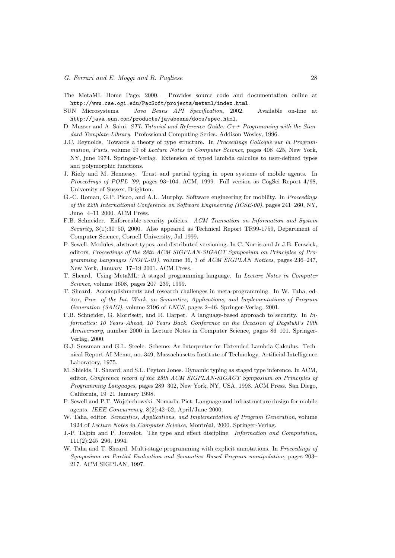- The MetaML Home Page, 2000. Provides source code and documentation online at http://www.cse.ogi.edu/PacSoft/projects/metaml/index.html.
- SUN Microsystems. Java Beans API Specification, 2002. Available on-line at http://java.sun.com/products/javabeans/docs/spec.html.
- D. Musser and A. Saini. STL Tutorial and Reference Guide:  $C++$  Programming with the Standard Template Library. Professional Computing Series. Addison Wesley, 1996.
- J.C. Reynolds. Towards a theory of type structure. In Proceedings Colloque sur la Programmation, Paris, volume 19 of Lecture Notes in Computer Science, pages 408–425, New York, NY, june 1974. Springer-Verlag. Extension of typed lambda calculus to user-defined types and polymorphic functions.
- J. Riely and M. Hennessy. Trust and partial typing in open systems of mobile agents. In Proceedings of POPL '99, pages 93–104. ACM, 1999. Full version as CogSci Report 4/98, University of Sussex, Brighton.
- G.-C. Roman, G.P. Picco, and A.L. Murphy. Software engineering for mobility. In Proceedings of the 22th International Conference on Software Engineering (ICSE-00), pages 241–260, NY, June 4–11 2000. ACM Press.
- F.B. Schneider. Enforceable security policies. ACM Transation on Information and System Security, 3(1):30–50, 2000. Also appeared as Technical Report TR99-1759, Department of Computer Science, Cornell University, Jul 1999.
- P. Sewell. Modules, abstract types, and distributed versioning. In C. Norris and Jr.J.B. Fenwick, editors, Proceedings of the 28th ACM SIGPLAN-SIGACT Symposium on Principles of Programming Languages (POPL-01), volume 36, 3 of ACM SIGPLAN Notices, pages 236–247, New York, January 17–19 2001. ACM Press.
- T. Sheard. Using MetaML: A staged programming language. In Lecture Notes in Computer Science, volume 1608, pages 207–239, 1999.
- T. Sheard. Accomplishments and research challenges in meta-programming. In W. Taha, editor, Proc. of the Int. Work. on Semantics, Applications, and Implementations of Program Generation (SAIG), volume 2196 of LNCS, pages 2–46. Springer-Verlag, 2001.
- F.B. Schneider, G. Morrisett, and R. Harper. A language-based approach to security. In Informatics: 10 Years Ahead, 10 Years Back. Conference on the Occasion of Dagstuhl's 10th Anniversary, number 2000 in Lecture Notes in Computer Science, pages 86–101. Springer-Verlag, 2000.
- G.J. Sussman and G.L. Steele. Scheme: An Interpreter for Extended Lambda Calculus. Technical Report AI Memo, no. 349, Massachusetts Institute of Technology, Artificial Intelligence Laboratory, 1975.
- M. Shields, T. Sheard, and S.L. Peyton Jones. Dynamic typing as staged type inference. In ACM, editor, Conference record of the 25th ACM SIGPLAN-SIGACT Symposium on Principles of Programming Languages, pages 289–302, New York, NY, USA, 1998. ACM Press. San Diego, California, 19–21 January 1998.
- P. Sewell and P.T. Wojciechowski. Nomadic Pict: Language and infrastructure design for mobile agents. IEEE Concurrency, 8(2):42–52, April/June 2000.
- W. Taha, editor. Semantics, Applications, and Implementation of Program Generation, volume 1924 of Lecture Notes in Computer Science, Montréal, 2000. Springer-Verlag.
- J.-P. Talpin and P. Jouvelot. The type and effect discipline. Information and Computation, 111(2):245–296, 1994.
- W. Taha and T. Sheard. Multi-stage programming with explicit annotations. In *Proceedings of* Symposium on Partial Evaluation and Semantics Based Program manipulation, pages 203– 217. ACM SIGPLAN, 1997.